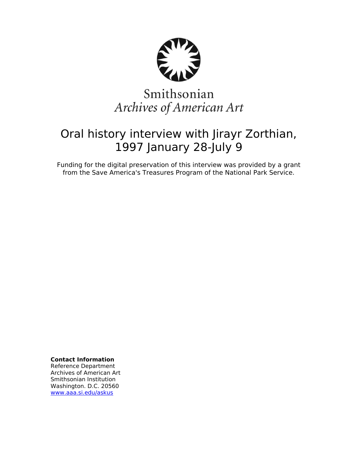

# Smithsonian Archives of American Art

# Oral history interview with Jirayr Zorthian, 1997 January 28-July 9

Funding for the digital preservation of this interview was provided by a grant from the Save America's Treasures Program of the National Park Service.

**Contact Information**

Reference Department Archives of American Art Smithsonian Institution Washington. D.C. 20560 [www.aaa.si.edu/askus](http://www.aaa.si.edu/askus)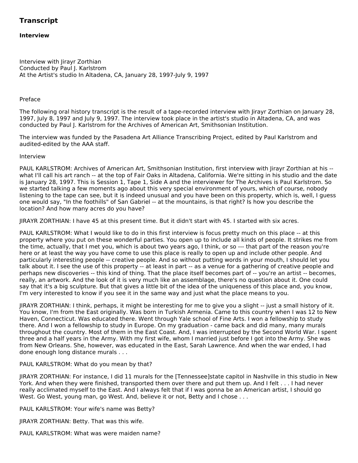# **Transcript**

# **Interview**

Interview with Jirayr Zorthian Conducted by Paul J. Karlstrom At the Artist's studio In Altadena, CA, January 28, 1997-July 9, 1997

#### Preface

The following oral history transcript is the result of a tape-recorded interview with Jirayr Zorthian on January 28, 1997, July 8, 1997 and July 9, 1997. The interview took place in the artist's studio in Altadena, CA, and was conducted by Paul J. Karlstrom for the Archives of American Art, Smithsonian Institution.

The interview was funded by the Pasadena Art Alliance Transcribing Project, edited by Paul Karlstrom and audited-edited by the AAA staff.

Interview

PAUL KARLSTROM: Archives of American Art, Smithsonian Institution, first interview with Jirayr Zorthian at his - what I'll call his art ranch -- at the top of Fair Oaks in Altadena, California. We're sitting in his studio and the date is January 28, 1997. This is Session 1, Tape 1, Side A and the interviewer for The Archives is Paul Karlstrom. So we started talking a few moments ago about this very special environment of yours, which of course, nobody listening to the tape can see, but it is indeed unusual and you have been on this property, which is, well, I guess one would say, "In the foothills" of San Gabriel -- at the mountains, is that right? Is how you describe the location? And how many acres do you have?

JIRAYR ZORTHIAN: I have 45 at this present time. But it didn't start with 45. I started with six acres.

PAUL KARLSTROM: What I would like to do in this first interview is focus pretty much on this place -- at this property where you put on these wonderful parties. You open up to include all kinds of people. It strikes me from the time, actually, that I met you, which is about two years ago, I think, or so --- that part of the reason you're here or at least the way you have come to use this place is really to open up and include other people. And particularly interesting people -- creative people. And so without putting words in your mouth, I should let you talk about it. I see the use of this property -- at least in part -- as a venue for a gathering of creative people and perhaps new discoveries -- this kind of thing. That the place itself becomes part of -- you're an artist -- becomes, really, an artwork. And the look of it is very much like an assemblage, there's no question about it. One could say that it's a big sculpture. But that gives a little bit of the idea of the uniqueness of this place and, you know, I'm very interested to know if you see it in the same way and just what the place means to you.

JIRAYR ZORTHIAN: I think, perhaps, it might be interesting for me to give you a slight -- just a small history of it. You know, I'm from the East originally. Was born in Turkish Armenia. Came to this country when I was 12 to New Haven, Connecticut. Was educated there. Went through Yale school of Fine Arts. I won a fellowship to study there. And I won a fellowship to study in Europe. On my graduation - came back and did many, many murals throughout the country. Most of them in the East Coast. And, I was interrupted by the Second World War. I spent three and a half years in the Army. With my first wife, whom I married just before I got into the Army. She was from New Orleans. She, however, was educated in the East, Sarah Lawrence. And when the war ended, I had done enough long distance murals . . .

### PAUL KARLSTROM: What do you mean by that?

JIRAYR ZORTHIAN: For instance, I did 11 murals for the [Tennessee]state capitol in Nashville in this studio in New York. And when they were finished, transported them over there and put them up. And I felt . . . I had never really acclimated myself to the East. And I always felt that if I was gonna be an American artist, I should go West. Go West, young man, go West. And, believe it or not, Betty and I chose . . .

PAUL KARLSTROM: Your wife's name was Betty?

JIRAYR ZORTHIAN: Betty. That was this wife.

PAUL KARLSTROM: What was were maiden name?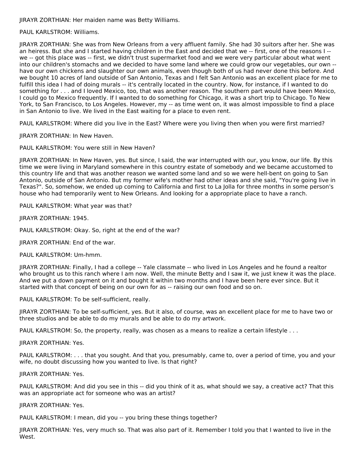JIRAYR ZORTHIAN: Her maiden name was Betty Williams.

PAUL KARLSTROM: Williams.

JIRAYR ZORTHIAN: She was from New Orleans from a very affluent family. She had 30 suitors after her. She was an heiress. But she and I started having children in the East and decided that we -- first, one of the reasons I - we -- got this place was -- first, we didn't trust supermarket food and we were very particular about what went into our children's stomachs and we decided to have some land where we could grow our vegetables, our own - have our own chickens and slaughter our own animals, even though both of us had never done this before. And we bought 10 acres of land outside of San Antonio, Texas and I felt San Antonio was an excellent place for me to fulfill this idea I had of doing murals -- it's centrally located in the country. Now, for instance, if I wanted to do something for . . . and I loved Mexico, too, that was another reason. The southern part would have been Mexico, I could go to Mexico frequently. If I wanted to do something for Chicago, it was a short trip to Chicago. To New York, to San Francisco, to Los Angeles. However, my -- as time went on, it was almost impossible to find a place in San Antonio to live. We lived in the East waiting for a place to even rent.

PAUL KARLSTROM: Where did you live in the East? Where were you living then when you were first married?

JIRAYR ZORTHIAN: In New Haven.

PAUL KARLSTROM: You were still in New Haven?

JIRAYR ZORTHIAN: In New Haven, yes. But since, I said, the war interrupted with our, you know, our life. By this time we were living in Maryland somewhere in this country estate of somebody and we became accustomed to this country life and that was another reason we wanted some land and so we were hell-bent on going to San Antonio, outside of San Antonio. But my former wife's mother had other ideas and she said, "You're going live in Texas?". So, somehow, we ended up coming to California and first to La Jolla for three months in some person's house who had temporarily went to New Orleans. And looking for a appropriate place to have a ranch.

PAUL KARLSTROM: What year was that?

JIRAYR ZORTHIAN: 1945.

PAUL KARLSTROM: Okay. So, right at the end of the war?

JIRAYR ZORTHIAN: End of the war.

PAUL KARLSTROM: Um-hmm.

JIRAYR ZORTHIAN: Finally, I had a college -- Yale classmate -- who lived in Los Angeles and he found a realtor who brought us to this ranch where I am now. Well, the minute Betty and I saw it, we just knew it was the place. And we put a down payment on it and bought it within two months and I have been here ever since. But it started with that concept of being on our own for as -- raising our own food and so on.

PAUL KARLSTROM: To be self-sufficient, really.

JIRAYR ZORTHIAN: To be self-sufficient, yes. But it also, of course, was an excellent place for me to have two or three studios and be able to do my murals and be able to do my artwork.

PAUL KARLSTROM: So, the property, really, was chosen as a means to realize a certain lifestyle . . .

JIRAYR ZORTHIAN: Yes.

PAUL KARLSTROM: . . . that you sought. And that you, presumably, came to, over a period of time, you and your wife, no doubt discussing how you wanted to live. Is that right?

JIRAYR ZORTHIAN: Yes.

PAUL KARLSTROM: And did you see in this -- did you think of it as, what should we say, a creative act? That this was an appropriate act for someone who was an artist?

JIRAYR ZORTHIAN: Yes.

PAUL KARLSTROM: I mean, did you -- you bring these things together?

JIRAYR ZORTHIAN: Yes, very much so. That was also part of it. Remember I told you that I wanted to live in the West.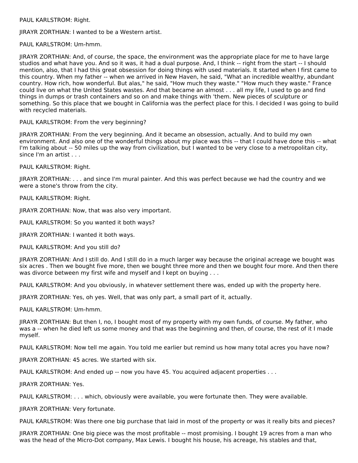PAUL KARLSTROM: Right.

JIRAYR ZORTHIAN: I wanted to be a Western artist.

PAUL KARLSTROM: Um-hmm.

JIRAYR ZORTHIAN: And, of course, the space, the environment was the appropriate place for me to have large studios and what have you. And so it was, it had a dual purpose. And, I think -- right from the start -- I should mention, also, that I had this great obsession for doing things with used materials. It started when I first came to this country. When my father -- when we arrived in New Haven, he said, "What an incredible wealthy, abundant country. How rich, how wonderful. But alas," he said, "How much they waste." "How much they waste." France could live on what the United States wastes. And that became an almost . . . all my life, I used to go and find things in dumps or trash containers and so on and make things with 'them. New pieces of sculpture or something. So this place that we bought in California was the perfect place for this. I decided I was going to build with recycled materials.

### PAUL KARLSTROM: From the very beginning?

JIRAYR ZORTHIAN: From the very beginning. And it became an obsession, actually. And to build my own environment. And also one of the wonderful things about my place was this -- that I could have done this -- what I'm talking about -- 50 miles up the way from civilization, but I wanted to be very close to a metropolitan city, since I'm an artist . . .

PAUL KARLSTROM: Right.

JIRAYR ZORTHIAN: . . . and since I'm mural painter. And this was perfect because we had the country and we were a stone's throw from the city.

PAUL KARLSTROM: Right.

JIRAYR ZORTHIAN: Now, that was also very important.

PAUL KARLSTROM: So you wanted it both ways?

JIRAYR ZORTHIAN: I wanted it both ways.

PAUL KARLSTROM: And you still do?

JIRAYR ZORTHIAN: And I still do. And I still do in a much larger way because the original acreage we bought was six acres . Then we bought five more, then we bought three more and then we bought four more. And then there was divorce between my first wife and myself and I kept on buying . . .

PAUL KARLSTROM: And you obviously, in whatever settlement there was, ended up with the property here.

JIRAYR ZORTHIAN: Yes, oh yes. Well, that was only part, a small part of it, actually.

PAUL KARLSTROM: Um-hmm.

JIRAYR ZORTHIAN: But then I, no, I bought most of my property with my own funds, of course. My father, who was a -- when he died left us some money and that was the beginning and then, of course, the rest of it I made myself.

PAUL KARLSTROM: Now tell me again. You told me earlier but remind us how many total acres you have now?

JIRAYR ZORTHIAN: 45 acres. We started with six.

PAUL KARLSTROM: And ended up -- now you have 45. You acquired adjacent properties . . .

JIRAYR ZORTHIAN: Yes.

PAUL KARLSTROM: . . . which, obviously were available, you were fortunate then. They were available.

JIRAYR ZORTHIAN: Very fortunate.

PAUL KARLSTROM: Was there one big purchase that laid in most of the property or was it really bits and pieces?

JIRAYR ZORTHIAN: One big piece was the most profitable -- most promising. I bought 19 acres from a man who was the head of the Micro-Dot company, Max Lewis. I bought his house, his acreage, his stables and that,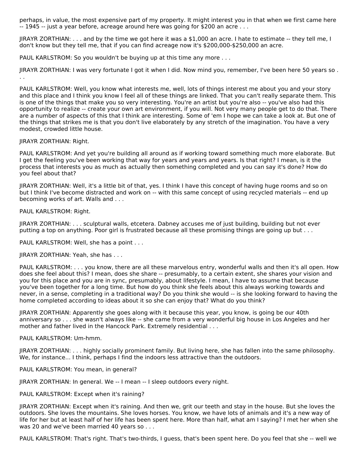perhaps, in value, the most expensive part of my property. It might interest you in that when we first came here -- 1945 -- just a year before, acreage around here was going for \$200 an acre . . .

JIRAYR ZORTHIAN: . . . and by the time we got here it was a \$1,000 an acre. I hate to estimate -- they tell me, I don't know but they tell me, that if you can find acreage now it's \$200,000-\$250,000 an acre.

PAUL KARLSTROM: So you wouldn't be buying up at this time any more . . .

JIRAYR ZORTHIAN: I was very fortunate I got it when I did. Now mind you, remember, I've been here 50 years so . . .

PAUL KARLSTROM: Well, you know what interests me, well, lots of things interest me about you and your story and this place and I think you know I feel all of these things are linked. That you can't really separate them. This is one of the things that make you so very interesting. You're an artist but you're also -- you've also had this opportunity to realize -- create your own art environment, if you will. Not very many people get to do that. There are a number of aspects of this that I think are interesting. Some of 'em I hope we can take a look at. But one of the things that strikes me is that you don't live elaborately by any stretch of the imagination. You have a very modest, crowded little house.

### JIRAYR ZORTHIAN: Right.

PAUL KARLSTROM: And yet you're building all around as if working toward something much more elaborate. But I get the feeling you've been working that way for years and years and years. Is that right? I mean, is it the process that interests you as much as actually then something completed and you can say it's done? How do you feel about that?

JIRAYR ZORTHIAN: Well, it's a little bit of that, yes. I think I have this concept of having huge rooms and so on but I think I've become distracted and work on -- with this same concept of using recycled materials -- end up becoming works of art. Walls and . . .

PAUL KARLSTROM: Right.

JIRAYR ZORTHIAN: . . . sculptural walls, etcetera. Dabney accuses me of just building, building but not ever putting a top on anything. Poor girl is frustrated because all these promising things are going up but . . .

PAUL KARLSTROM: Well, she has a point . . .

JIRAYR ZORTHIAN: Yeah, she has . . .

PAUL KARLSTROM: . . . you know, there are all these marvelous entry, wonderful walls and then it's all open. How does she feel about this? I mean, does she share -- presumably, to a certain extent, she shares your vision and you for this place and you are in sync, presumably, about lifestyle. I mean, I have to assume that because you've been together for a long time. But how do you think she feels about this always working towards and never, in a sense, completing in a traditional way? Do you think she would -- is she looking forward to having the home completed according to ideas about it so she can enjoy that? What do you think?

JIRAYR ZORTHIAN: Apparently she goes along with it because this year, you know, is going be our 40th anniversary so . . . she wasn't always like -- she came from a very wonderful big house in Los Angeles and her mother and father lived in the Hancock Park. Extremely residential . . .

### PAUL KARLSTROM: Um-hmm.

JIRAYR ZORTHIAN: . . . highly socially prominent family. But living here, she has fallen into the same philosophy. We, for instance... I think, perhaps I find the indoors less attractive than the outdoors.

PAUL KARLSTROM: You mean, in general?

JIRAYR ZORTHIAN: In general. We -- I mean -- I sleep outdoors every night.

### PAUL KARLSTROM: Except when it's raining?

JIRAYR ZORTHIAN: Except when it's raining. And then we, grit our teeth and stay in the house. But she loves the outdoors. She loves the mountains. She loves horses. You know, we have lots of animals and it's a new way of life for her but at least half of her life has been spent here. More than half, what am I saying? I met her when she was 20 and we've been married 40 years so . . .

PAUL KARLSTROM: That's right. That's two-thirds, I guess, that's been spent here. Do you feel that she -- well we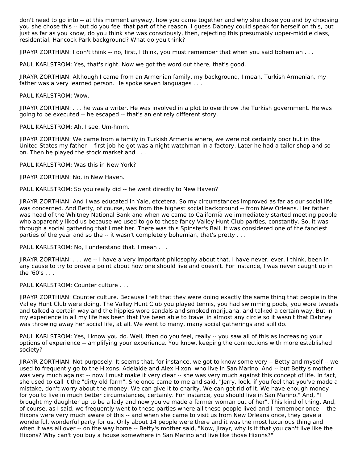don't need to go into -- at this moment anyway, how you came together and why she chose you and by choosing you she chose this -- but do you feel that part of the reason, I guess Dabney could speak for herself on this, but just as far as you know, do you think she was consciously, then, rejecting this presumably upper-middle class, residential, Hancock Park background? What do you think?

JIRAYR ZORTHIAN: I don't think -- no, first, I think, you must remember that when you said bohemian . . .

PAUL KARLSTROM: Yes, that's right. Now we got the word out there, that's good.

JIRAYR ZORTHIAN: Although I came from an Armenian family, my background, I mean, Turkish Armenian, my father was a very learned person. He spoke seven languages . . .

PAUL KARLSTROM: Wow.

JIRAYR ZORTHIAN: . . . he was a writer. He was involved in a plot to overthrow the Turkish government. He was going to be executed -- he escaped -- that's an entirely different story.

PAUL KARLSTROM: Ah, I see. Um-hmm.

JIRAYR ZORTHIAN: We came from a family in Turkish Armenia where, we were not certainly poor but in the United States my father -- first job he got was a night watchman in a factory. Later he had a tailor shop and so on. Then he played the stock market and . . .

PAUL KARLSTROM: Was this in New York?

JIRAYR ZORTHIAN: No, in New Haven.

PAUL KARLSTROM: So you really did -- he went directly to New Haven?

JIRAYR ZORTHIAN: And I was educated in Yale, etcetera. So my circumstances improved as far as our social life was concerned. And Betty, of course, was from the highest social background -- from New Orleans. Her father was head of the Whitney National Bank and when we came to California we immediately started meeting people who apparently liked us because we used to go to these fancy Valley Hunt Club parties, constantly. So, it was through a social gathering that I met her. There was this Spinster's Ball, it was considered one of the fanciest parties of the year and so the -- it wasn't completely bohemian, that's pretty . . .

PAUL KARLSTROM: No, I understand that. I mean . . .

JIRAYR ZORTHIAN: . . . we -- I have a very important philosophy about that. I have never, ever, I think, been in any cause to try to prove a point about how one should live and doesn't. For instance, I was never caught up in the '60's . . .

PAUL KARLSTROM: Counter culture . . .

JIRAYR ZORTHIAN: Counter culture. Because I felt that they were doing exactly the same thing that people in the Valley Hunt Club were doing. The Valley Hunt Club you played tennis, you had swimming pools, you wore tweeds and talked a certain way and the hippies wore sandals and smoked marijuana, and talked a certain way. But in my experience in all my life has been that I've been able to travel in almost any circle so it wasn't that Dabney was throwing away her social life, at all. We went to many, many social gatherings and still do.

PAUL KARLSTROM: Yes, I know you do. Well, then do you feel, really -- you saw all of this as increasing your options of experience -- amplifying your experience. You know, keeping the connections with more established society?

JIRAYR ZORTHIAN: Not purposely. It seems that, for instance, we got to know some very -- Betty and myself -- we used to frequently go to the Hixons. Adelaide and Alex Hixon, who live in San Marino. And -- but Betty's mother was very much against -- now I must make it very clear -- she was very much against this concept of life. In fact, she used to call it the "dirty old farm". She once came to me and said, "Jerry, look, if you feel that you've made a mistake, don't worry about the money. We can give it to charity. We can get rid of it. We have enough money for you to live in much better circumstances, certainly. For instance, you should live in San Marino." And, "I brought my daughter up to be a lady and now you've made a farmer woman out of her". This kind of thing. And, of course, as I said, we frequently went to these parties where all these people lived and I remember once -- the Hixons were very much aware of this -- and when she came to visit us from New Orleans once, they gave a wonderful, wonderful party for us. Only about 14 people were there and it was the most luxurious thing and when it was all over -- on the way home -- Betty's mother said, "Now, Jirayr, why is it that you can't live like the Hixons? Why can't you buy a house somewhere in San Marino and live like those Hixons?"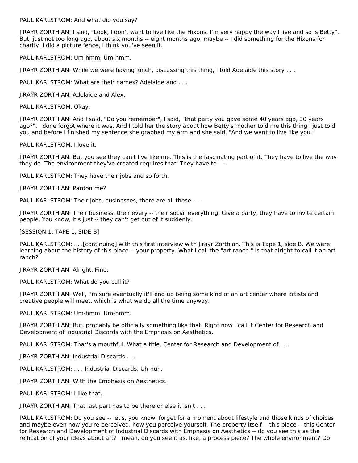PAUL KARLSTROM: And what did you say?

JIRAYR ZORTHIAN: I said, "Look, I don't want to live like the Hixons. I'm very happy the way I live and so is Betty". But, just not too long ago, about six months -- eight months ago, maybe -- I did something for the Hixons for charity. I did a picture fence, I think you've seen it.

PAUL KARLSTROM: Um-hmm. Um-hmm.

JIRAYR ZORTHIAN: While we were having lunch, discussing this thing, I told Adelaide this story . . .

PAUL KARLSTROM: What are their names? Adelaide and . . .

JIRAYR ZORTHIAN: Adelaide and Alex.

PAUL KARLSTROM: Okay.

JIRAYR ZORTHIAN: And I said, "Do you remember", I said, "that party you gave some 40 years ago, 30 years ago?", I done forgot where it was. And I told her the story about how Betty's mother told me this thing I just told you and before I finished my sentence she grabbed my arm and she said, "And we want to live like you."

PAUL KARLSTROM: I love it.

JIRAYR ZORTHIAN: But you see they can't live like me. This is the fascinating part of it. They have to live the way they do. The environment they've created requires that. They have to . . .

PAUL KARLSTROM: They have their jobs and so forth.

JIRAYR ZORTHIAN: Pardon me?

PAUL KARLSTROM: Their jobs, businesses, there are all these . . .

JIRAYR ZORTHIAN: Their business, their every -- their social everything. Give a party, they have to invite certain people. You know, it's just -- they can't get out of it suddenly.

[SESSION 1; TAPE 1, SIDE B]

PAUL KARLSTROM: . . .[continuing] with this first interview with Jirayr Zorthian. This is Tape 1, side B. We were learning about the history of this place -- your property. What I call the "art ranch." Is that alright to call it an art ranch?

JIRAYR ZORTHIAN: Alright. Fine.

PAUL KARLSTROM: What do you call it?

JIRAYR ZORTHIAN: Well, I'm sure eventually it'll end up being some kind of an art center where artists and creative people will meet, which is what we do all the time anyway.

PAUL KARLSTROM: Um-hmm. Um-hmm.

JIRAYR ZORTHIAN: But, probably be officially something like that. Right now I call it Center for Research and Development of Industrial Discards with the Emphasis on Aesthetics.

PAUL KARLSTROM: That's a mouthful. What a title. Center for Research and Development of . . .

JIRAYR ZORTHIAN: Industrial Discards . . .

PAUL KARLSTROM: . . . Industrial Discards. Uh-huh.

JIRAYR ZORTHIAN: With the Emphasis on Aesthetics.

PAUL KARLSTROM: I like that.

JIRAYR ZORTHIAN: That last part has to be there or else it isn't . . .

PAUL KARLSTROM: Do you see -- let's, you know, forget for a moment about lifestyle and those kinds of choices and maybe even how you're perceived, how you perceive yourself. The property itself -- this place -- this Center for Research and Development of Industrial Discards with Emphasis on Aesthetics -- do you see this as the reification of your ideas about art? I mean, do you see it as, like, a process piece? The whole environment? Do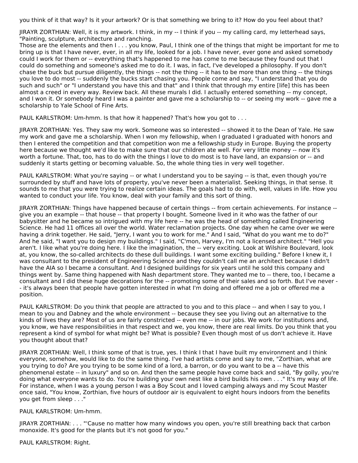you think of it that way? Is it your artwork? Or is that something we bring to it? How do you feel about that?

JIRAYR ZORTHIAN: Well, it is my artwork. I think, in my -- I think if you -- my calling card, my letterhead says, "Painting, sculpture, architecture and ranching.

Those are the elements and then I . . . you know, Paul, I think one of the things that might be important for me to bring up is that I have never, ever, in all my life, looked for a job. I have never, ever gone and asked somebody could I work for them or -- everything that's happened to me has come to me because they found out that I could do something and someone's asked me to do it. I was, in fact, I've developed a philosophy. If you don't chase the buck but pursue diligently, the things -- not the thing -- it has to be more than one thing -- the things you love to do most -- suddenly the bucks start chasing you. People come and say, "I understand that you do such and such" or "I understand you have this and that" and I think that through my entire [life] this has been almost a creed in every way. Review back. All these murals I did. I actually entered something -- my concept, and I won it. Or somebody heard I was a painter and gave me a scholarship to -- or seeing my work -- gave me a scholarship to Yale School of Fine Arts.

PAUL KARLSTROM: Um-hmm. Is that how it happened? That's how you got to . . .

JIRAYR ZORTHIAN: Yes. They saw my work. Someone was so interested -- showed it to the Dean of Yale. He saw my work and gave me a scholarship. When I won my fellowship, when I graduated I graduated with honors and then I entered the competition and that competition won me a fellowship study in Europe. Buying the property here because we thought we'd like to make sure that our children ate well. For very little money -- now it's worth a fortune. That, too, has to do with the things I love to do most is to have land, an expansion or -- and suddenly it starts getting or becoming valuable. So, the whole thing ties in very well together.

PAUL KARLSTROM: What you're saying -- or what I understand you to be saying -- is that, even though you're surrounded by stuff and have lots of property, you've never been a materialist. Seeking things, in that sense. It sounds to me that you were trying to realize certain ideas. The goals had to do with, well, values in life. How you wanted to conduct your life. You know, deal with your family and this sort of thing.

JIRAYR ZORTHIAN: Things have happened because of certain things -- from certain achievements. For instance - give you an example -- that house -- that property I bought. Someone lived in it who was the father of our babysitter and he became so intrigued with my life here -- he was the head of something called Engineering Science. He had 11 offices all over the world. Water reclamation projects. One day when he came over we were having a drink together. He said, "Jerry, I want you to work for me." And I said, "What do you want me to do?" And he said, "I want you to design my buildings." I said, "C'mon, Harvey, I'm not a licensed architect." "Hell you aren't. I like what you're doing here. I like the imagination, the -- very exciting. Look at Wilshire Boulevard, look at, you know, the so-called architects do these dull buildings. I want some exciting building." Before I knew it, I was consultant to the president of Engineering Science and they couldn't call me an architect because I didn't have the AIA so I became a consultant. And I designed buildings for six years until he sold this company and things went by. Same thing happened with Nash department store. They wanted me to -- there, too, I became a consultant and I did these huge decorations for the -- promoting some of their sales and so forth. But I've never - - it's always been that people have gotten interested in what I'm doing and offered me a job or offered me a position.

PAUL KARLSTROM: Do you think that people are attracted to you and to this place -- and when I say to you, I mean to you and Dabney and the whole environment -- because they see you living out an alternative to the kinds of lives they are? Most of us are fairly constricted -- even me -- in our jobs. We work for institutions and, you know, we have responsibilities in that respect and we, you know, there are real limits. Do you think that you represent a kind of symbol for what might be? What is possible? Even though most of us don't achieve it. Have you thought about that?

JIRAYR ZORTHIAN: Well, I think some of that is true, yes. I think I that I have built my environment and I think everyone, somehow, would like to do the same thing. I've had artists come and say to me, "Zorthian, what are you trying to do? Are you trying to be some kind of a lord, a barron, or do you want to be a -- have this phenomenal estate -- in luxury" and so on. And then the same people have come back and said, "By golly, you're doing what everyone wants to do. You're building your own nest like a bird builds his own . . ." It's my way of life. For instance, when I was a young person I was a Boy Scout and I loved camping always and my Scout Master once said, "You know, Zorthian, five hours of outdoor air is equivalent to eight hours indoors from the benefits you get from sleep . . ."

# PAUL KARLSTROM: Um-hmm.

JIRAYR ZORTHIAN: . . . "'Cause no matter how many windows you open, you're still breathing back that carbon monoxide. It's good for the plants but it's not good for you."

### PAUL KARLSTROM: Right.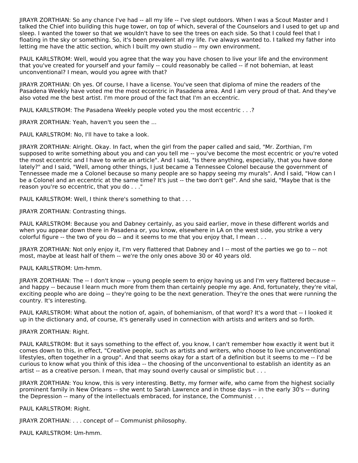JIRAYR ZORTHIAN: So any chance I've had -- all my life -- I've slept outdoors. When I was a Scout Master and I talked the Chief into building this huge tower, on top of which, several of the Counselors and I used to get up and sleep. I wanted the tower so that we wouldn't have to see the trees on each side. So that I could feel that I floating in the sky or something. So, it's been prevalent all my life. I've always wanted to. I talked my father into letting me have the attic section, which I built my own studio -- my own environment.

PAUL KARLSTROM: Well, would you agree that the way you have chosen to live your life and the environment that you've created for yourself and your family -- could reasonably be called -- if not bohemian, at least unconventional? I mean, would you agree with that?

JIRAYR ZORTHIAN: Oh yes. Of course, I have a license. You've seen that diploma of mine the readers of the Pasadena Weekly have voted me the most eccentric in Pasadena area. And I am very proud of that. And they've also voted me the best artist. I'm more proud of the fact that I'm an eccentric.

PAUL KARLSTROM: The Pasadena Weekly people voted you the most eccentric . . .?

JIRAYR ZORTHIAN: Yeah, haven't you seen the ...

PAUL KARLSTROM: No, I'll have to take a look.

JIRAYR ZORTHIAN: Alright. Okay. In fact, when the girl from the paper called and said, "Mr. Zorthian, I'm supposed to write something about you and can you tell me -- you've become the most eccentric or you're voted the most eccentric and I have to write an article". And I said, "Is there anything, especially, that you have done lately?" and I said, "Well, among other things, I just became a Tennessee Colonel because the government of Tennessee made me a Colonel because so many people are so happy seeing my murals". And I said, "How can I be a Colonel and an eccentric at the same time? It's just -- the two don't gel". And she said, "Maybe that is the reason you're so eccentric, that you do . . ."

PAUL KARLSTROM: Well, I think there's something to that . . .

JIRAYR ZORTHIAN: Contrasting things.

PAUL KARLSTROM: Because you and Dabney certainly, as you said earlier, move in these different worlds and when you appear down there in Pasadena or, you know, elsewhere in LA on the west side, you strike a very colorful figure -- the two of you do -- and it seems to me that you enjoy that, I mean . . .

JIRAYR ZORTHIAN: Not only enjoy it, I'm very flattered that Dabney and I -- most of the parties we go to -- not most, maybe at least half of them -- we're the only ones above 30 or 40 years old.

PAUL KARLSTROM: Um-hmm.

JIRAYR ZORTHIAN: The -- I don't know -- young people seem to enjoy having us and I'm very flattered because - and happy -- because I learn much more from them than certainly people my age. And, fortunately, they're vital, exciting people who are doing -- they're going to be the next generation. They're the ones that were running the country. It's interesting.

PAUL KARLSTROM: What about the notion of, again, of bohemianism, of that word? It's a word that -- I looked it up in the dictionary and, of course, it's generally used in connection with artists and writers and so forth.

### JIRAYR ZORTHIAN: Right.

PAUL KARLSTROM: But it says something to the effect of, you know, I can't remember how exactly it went but it comes down to this, in effect, "Creative people, such as artists and writers, who choose to live unconventional lifestyles, often together in a group". And that seems okay for a start of a definition but it seems to me -- I'd be curious to know what you think of this idea -- the choosing of the unconventional to establish an identity as an artist -- as a creative person. I mean, that may sound overly causal or simplistic but . . .

JIRAYR ZORTHIAN: You know, this is very interesting. Betty, my former wife, who came from the highest socially prominent family in New Orleans -- she went to Sarah Lawrence and in those days -- in the early 30's -- during the Depression -- many of the intellectuals embraced, for instance, the Communist . . .

PAUL KARLSTROM: Right.

JIRAYR ZORTHIAN: . . . concept of -- Communist philosophy.

PAUL KARLSTROM: Um-hmm.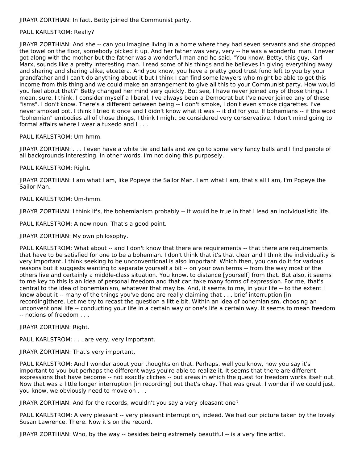JIRAYR ZORTHIAN: In fact, Betty joined the Communist party.

# PAUL KARLSTROM: Really?

JIRAYR ZORTHIAN: And she -- can you imagine living in a home where they had seven servants and she dropped the towel on the floor, somebody picked it up. And her father was very, very -- he was a wonderful man. I never got along with the mother but the father was a wonderful man and he said, "You know, Betty, this guy, Karl Marx, sounds like a pretty interesting man. I read some of his things and he believes in giving everything away and sharing and sharing alike, etcetera. And you know, you have a pretty good trust fund left to you by your grandfather and I can't do anything about it but I think I can find some lawyers who might be able to get this income from this thing and we could make an arrangement to give all this to your Communist party. How would you feel about that?" Betty changed her mind very quickly. But see, I have never joined any of those things. I mean, sure, I think, I consider myself a liberal, I've always been a Democrat but I've never joined any of these "isms". I don't know. There's a different between being -- I don't smoke, I don't even smoke cigarettes. I've never smoked pot. I think I tried it once and I didn't know what it was -- it did for you. If bohemians -- if the word "bohemian" embodies all of those things, I think I might be considered very conservative. I don't mind going to formal affairs where I wear a tuxedo and I . . .

# PAUL KARLSTROM: Um-hmm.

JIRAYR ZORTHIAN: . . . I even have a white tie and tails and we go to some very fancy balls and I find people of all backgrounds interesting. In other words, I'm not doing this purposely.

# PAUL KARLSTROM: Right.

JIRAYR ZORTHIAN: I am what I am, like Popeye the Sailor Man. I am what I am, that's all I am, I'm Popeye the Sailor Man.

# PAUL KARLSTROM: Um-hmm.

JIRAYR ZORTHIAN: I think it's, the bohemianism probably -- it would be true in that I lead an individualistic life.

PAUL KARLSTROM: A new noun. That's a good point.

JIRAYR ZORTHIAN: My own philosophy.

PAUL KARLSTROM: What about -- and I don't know that there are requirements -- that there are requirements that have to be satisfied for one to be a bohemian. I don't think that it's that clear and I think the individuality is very important. I think seeking to be unconventional is also important. Which then, you can do it for various reasons but it suggests wanting to separate yourself a bit -- on your own terms -- from the way most of the others live and certainly a middle-class situation. You know, to distance [yourself] from that. But also, it seems to me key to this is an idea of personal freedom and that can take many forms of expression. For me, that's central to the idea of bohemianism, whatever that may be. And, it seems to me, in your life -- to the extent I know about it -- many of the things you've done are really claiming that . . . brief interruption [in recording]there. Let me try to recast the question a little bit. Within an idea of bohemianism, choosing an unconventional life -- conducting your life in a certain way or one's life a certain way. It seems to mean freedom -- notions of freedom . . .

JIRAYR ZORTHIAN: Right.

PAUL KARLSTROM: . . . are very, very important.

JIRAYR ZORTHIAN: That's very important.

PAUL KARLSTROM: And I wonder about your thoughts on that. Perhaps, well you know, how you say it's important to you but perhaps the different ways you're able to realize it. It seems that there are different expressions that have become -- not exactly cliches -- but areas in which the quest for freedom works itself out. Now that was a little longer interruption [in recording] but that's okay. That was great. I wonder if we could just, you know, we obviously need to move on . . .

JIRAYR ZORTHIAN: And for the records, wouldn't you say a very pleasant one?

PAUL KARLSTROM: A very pleasant -- very pleasant interruption, indeed. We had our picture taken by the lovely Susan Lawrence. There. Now it's on the record.

JIRAYR ZORTHIAN: Who, by the way -- besides being extremely beautiful -- is a very fine artist.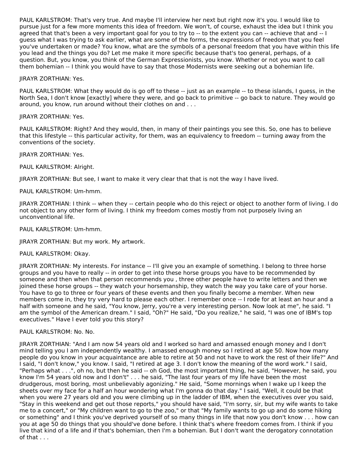PAUL KARLSTROM: That's very true. And maybe I'll interview her next but right now it's you. I would like to pursue just for a few more moments this idea of freedom. We won't, of course, exhaust the idea but I think you agreed that that's been a very important goal for you to try to -- to the extent you can -- achieve that and -- I guess what I was trying to ask earlier, what are some of the forms, the expressions of freedom that you feel you've undertaken or made? You know, what are the symbols of a personal freedom that you have within this life you lead and the things you do? Let me make it more specific because that's too general, perhaps, of a question. But, you know, you think of the German Expressionists, you know. Whether or not you want to call them bohemian -- I think you would have to say that those Modernists were seeking out a bohemian life.

### JIRAYR ZORTHIAN: Yes.

PAUL KARLSTROM: What they would do is go off to these -- just as an example -- to these islands, I guess, in the North Sea, I don't know [exactly] where they were, and go back to primitive -- go back to nature. They would go around, you know, run around without their clothes on and . . .

# JIRAYR ZORTHIAN: Yes.

PAUL KARLSTROM: Right? And they would, then, in many of their paintings you see this. So, one has to believe that this lifestyle -- this particular activity, for them, was an equivalency to freedom -- turning away from the conventions of the society.

JIRAYR ZORTHIAN: Yes.

PAUL KARLSTROM: Alright.

JIRAYR ZORTHIAN: But see, I want to make it very clear that that is not the way I have lived.

PAUL KARLSTROM: Um-hmm.

JIRAYR ZORTHIAN: I think -- when they -- certain people who do this reject or object to another form of living. I do not object to any other form of living. I think my freedom comes mostly from not purposely living an unconventional life.

PAUL KARLSTROM: Um-hmm.

JIRAYR ZORTHIAN: But my work. My artwork.

PAUL KARLSTROM: Okay.

JIRAYR ZORTHIAN: My interests. For instance -- I'll give you an example of something. I belong to three horse groups and you have to really -- in order to get into these horse groups you have to be recommended by someone and then when that person recommends you , three other people have to write letters and then we joined these horse groups -- they watch your horsemanship, they watch the way you take care of your horse. You have to go to three or four years of these events and then you finally become a member. When new members come in, they try very hard to please each other. I remember once -- I rode for at least an hour and a half with someone and he said, "You know, Jerry, you're a very interesting person. Now look at me", he said. "I am the symbol of the American dream." I said, "Oh?" He said, "Do you realize," he said, "I was one of IBM's top executives." Have I ever told you this story?

PAUL KARLSTROM: No. No.

JIRAYR ZORTHIAN: "And I am now 54 years old and I worked so hard and amassed enough money and I don't mind telling you I am independently wealthy. I amassed enough money so I retired at age 50. Now how many people do you know in your acquaintance are able to retire at 50 and not have to work the rest of their life?" And I said, "I don't know," you know. I said, "I retired at age 3. I don't know the meaning of the word work." I said, "Perhaps what . . .", oh no, but then he said -- oh God, the most important thing, he said, "However, he said, you know I'm 54 years old now and I don't" . . . he said, "The last four years of my life have been the most drudgerous, most boring, most unbelievably agonizing." He said, "Some mornings when I wake up I keep the sheets over my face for a half an hour wondering what I'm gonna do that day." I said, "Well, it could be that when you were 27 years old and you were climbing up in the ladder of IBM, when the executives over you said, "Stay in this weekend and get out those reports," you should have said, "I'm sorry, sir, but my wife wants to take me to a concert," or "My children want to go to the zoo," or that "My family wants to go up and do some hiking or something" and I think you've deprived yourself of so many things in life that now you don't know . . . how can you at age 50 do things that you should've done before. I think that's where freedom comes from. I think if you live that kind of a life and if that's bohemian, then I'm a bohemian. But I don't want the derogatory connotation of that . . .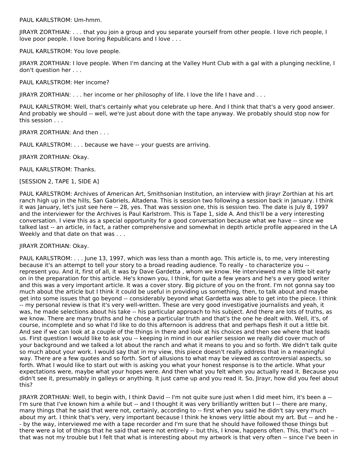PAUL KARLSTROM: Um-hmm.

JIRAYR ZORTHIAN: . . . that you join a group and you separate yourself from other people. I love rich people, I love poor people. I love boring Republicans and I love . . .

PAUL KARLSTROM: You love people.

JIRAYR ZORTHIAN: I love people. When I'm dancing at the Valley Hunt Club with a gal with a plunging neckline, I don't question her . . .

PAUL KARLSTROM: Her income?

JIRAYR ZORTHIAN: . . . her income or her philosophy of life. I love the life I have and . . .

PAUL KARLSTROM: Well, that's certainly what you celebrate up here. And I think that that's a very good answer. And probably we should -- well, we're just about done with the tape anyway. We probably should stop now for this session . . .

JIRAYR ZORTHIAN: And then . . .

PAUL KARLSTROM: . . . because we have -- your guests are arriving.

JIRAYR ZORTHIAN: Okay.

PAUL KARLSTROM: Thanks.

[SESSION 2, TAPE 1, SIDE A]

PAUL KARLSTROM: Archives of American Art, Smithsonian Institution, an interview with Jirayr Zorthian at his art ranch high up in the hills, San Gabriels, Altadena. This is session two following a session back in January. I think it was January, let's just see here -- 28, yes. That was session one, this is session two. The date is July 8, 1997 and the interviewer for the Archives is Paul Karlstrom. This is Tape 1, side A. And this'll be a very interesting conversation. I view this as a special opportunity for a good conversation because what we have -- since we talked last -- an article, in fact, a rather comprehensive and somewhat in depth article profile appeared in the LA Weekly and that date on that was . . .

# JIRAYR ZORTHIAN: Okay.

PAUL KARLSTROM: . . . June 13, 1997, which was less than a month ago. This article is, to me, very interesting because it's an attempt to tell your story to a broad reading audience. To really - to characterize you - represent you. And it, first of all, it was by Dave Gardetta , whom we know. He interviewed me a little bit early on in the preparation for this article. He's known you, I think, for quite a few years and he's a very good writer and this was a very important article. It was a cover story. Big picture of you on the front. I'm not gonna say too much about the article but I think it could be useful in providing us something, then, to talk about and maybe get into some issues that go beyond -- considerably beyond what Gardetta was able to get into the piece. I think -- my personal review is that it's very well-written. These are very good investigative journalists and yeah, it was, he made selections about his take -- his particular approach to his subject. And there are lots of truths, as we know. There are many truths and he chose a particular truth and that's the one he dealt with. Well, it's, of course, incomplete and so what I'd like to do this afternoon is address that and perhaps flesh it out a little bit. And see if we can look at a couple of the things in there and look at his choices and then see where that leads us. First question I would like to ask you -- keeping in mind in our earlier session we really did cover much of your background and we talked a lot about the ranch and what it means to you and so forth. We didn't talk quite so much about your work. I would say that in my view, this piece doesn't really address that in a meaningful way. There are a few quotes and so forth. Sort of allusions to what may be viewed as controversial aspects, so forth. What I would like to start out with is asking you what your honest response is to the article. What your expectations were, maybe what your hopes were. And then what you felt when you actually read it. Because you didn't see it, presumably in galleys or anything. It just came up and you read it. So, Jirayr, how did you feel about this?

JIRAYR ZORTHIAN: Well, to begin with, I think David -- I'm not quite sure just when I did meet him, it's been a -- I'm sure that I've known him a while but -- and I thought it was very brilliantly written but I -- there are many, many things that he said that were not, certainly, according to -- first when you said he didn't say very much about my art. I think that's very, very important because I think he knows very little about my art. But -- and he - - by the way, interviewed me with a tape recorder and I'm sure that he should have followed those things but there were a lot of things that he said that were not entirely -- but this, I know, happens often. This, that's not - that was not my trouble but I felt that what is interesting about my artwork is that very often -- since I've been in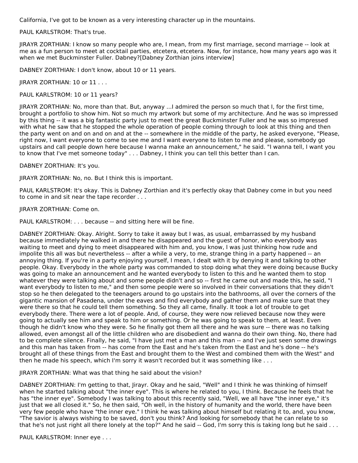California, I've got to be known as a very interesting character up in the mountains.

PAUL KARLSTROM: That's true.

JIRAYR ZORTHIAN: I know so many people who are, I mean, from my first marriage, second marriage -- look at me as a fun person to meet at cocktail parties, etcetera, etcetera. Now, for instance, how many years ago was it when we met Buckminster Fuller. Dabney?[Dabney Zorthian joins interview]

DABNEY ZORTHIAN: I don't know, about 10 or 11 years.

JIRAYR ZORTHIAN: 10 or 11 . . .

PAUL KARLSTROM: 10 or 11 years?

JIRAYR ZORTHIAN: No, more than that. But, anyway ...I admired the person so much that I, for the first time, brought a portfolio to show him. Not so much my artwork but some of my architecture. And he was so impressed by this thing -- it was a big fantastic party just to meet the great Buckminster Fuller and he was so impressed with what he saw that he stopped the whole operation of people coming through to look at this thing and then the party went on and on and on and at the -- somewhere in the middle of the party, he asked everyone, "Please, right now, I want everyone to come to see me and I want everyone to listen to me and please, somebody go upstairs and call people down here because I wanna make an announcement," he said. "I wanna tell, I want you to know that I've met someone today" . . . Dabney, I think you can tell this better than I can.

DABNEY ZORTHIAN: It's you.

JIRAYR ZORTHIAN: No, no. But I think this is important.

PAUL KARLSTROM: It's okay. This is Dabney Zorthian and it's perfectly okay that Dabney come in but you need to come in and sit near the tape recorder . . .

JIRAYR ZORTHIAN: Come on.

PAUL KARLSTROM: . . . because -- and sitting here will be fine.

DABNEY ZORTHIAN: Okay. Alright. Sorry to take it away but I was, as usual, embarrassed by my husband because immediately he walked in and there he disappeared and the guest of honor, who everybody was waiting to meet and dying to meet disappeared with him and, you know, I was just thinking how rude and impolite this all was but nevertheless -- after a while a very, to me, strange thing in a party happened -- an annoying thing. If you're in a party enjoying yourself, I mean, I dealt with it by denying it and talking to other people. Okay. Everybody in the whole party was commanded to stop doing what they were doing because Bucky was going to make an announcement and he wanted everybody to listen to this and he wanted them to stop whatever they were talking about and some people didn't and so -- first he came out and made this, he said, "I want everybody to listen to me," and then some people were so involved in their conversations that they didn't stop so he then delegated to the teenagers around to go upstairs into the bathrooms, all over the corners of the gigantic mansion of Pasadena, under the eaves and find everybody and gather them and make sure that they were there so that he could tell them something. So they all came, finally. It took a lot of trouble to get everybody there. There were a lot of people. And, of course, they were now relieved because now they were going to actually see him and speak to him or something. Or he was going to speak to them, at least. Even though he didn't know who they were. So he finally got them all there and he was sure -- there was no talking allowed, even amongst all of the little children who are disobedient and wanna do their own thing. No, there had to be complete silence. Finally, he said, "I have just met a man and this man -- and I've just seen some drawings and this man has taken from -- has come from the East and he's taken from the East and he's done -- he's brought all of these things from the East and brought them to the West and combined them with the West" and then he made his speech, which I'm sorry it wasn't recorded but it was something like . . .

JIRAYR ZORTHIAN: What was that thing he said about the vision?

DABNEY ZORTHIAN: I'm getting to that, Jirayr. Okay and he said, "Well" and I think he was thinking of himself when he started talking about "the inner eye". This is where he related to you, I think. Because he feels that he has "the inner eye". Somebody I was talking to about this recently said, "Well, we all have "the inner eye," it's just that we all closed it." So, he then said, "Oh well, in the history of humanity and the world, there have been very few people who have "the inner eye." I think he was talking about himself but relating it to, and, you know, "The savior is always wishing to be saved, don't you think? And looking for somebody that he can relate to so that he's not just right all there lonely at the top?" And he said -- God, I'm sorry this is taking long but he said . . .

PAUL KARLSTROM: Inner eye . . .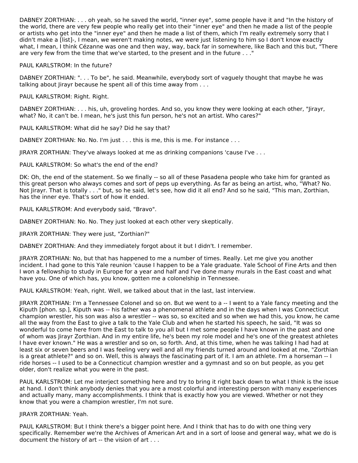DABNEY ZORTHIAN: . . . oh yeah, so he saved the world, "inner eye", some people have it and "In the history of the world, there are very few people who really get into their "inner eye" and then he made a list of the people or artists who get into the "inner eye" and then he made a list of them, which I'm really extremely sorry that I didn't make a [list]-, I mean, we weren't making notes, we were just listening to him so I don't know exactly what, I mean, I think Cézanne was one and then way, way, back far in somewhere, like Bach and this but, "There are very few from the time that we've started, to the present and in the future . . ."

PAUL KARLSTROM: In the future?

DABNEY ZORTHIAN: ". . . To be", he said. Meanwhile, everybody sort of vaguely thought that maybe he was talking about Jirayr because he spent all of this time away from . . .

PAUL KARLSTROM: Right. Right.

DABNEY ZORTHIAN: . . . his, uh, groveling hordes. And so, you know they were looking at each other, "Jirayr, what? No, it can't be. I mean, he's just this fun person, he's not an artist. Who cares?"

PAUL KARLSTROM: What did he say? Did he say that?

DABNEY ZORTHIAN: No. No. I'm just . . . this is me, this is me. For instance . . .

JIRAYR ZORTHIAN: They've always looked at me as drinking companions 'cause I've . . .

PAUL KARLSTROM: So what's the end of the end?

DK: Oh, the end of the statement. So we finally -- so all of these Pasadena people who take him for granted as this great person who always comes and sort of peps up everything. As far as being an artist, who, "What? No. Not Jirayr. That is totally . . ." but, so he said, let's see, how did it all end? And so he said, "This man, Zorthian, has the inner eye. That's sort of how it ended.

PAUL KARLSTROM: And everybody said, "Bravo".

DABNEY ZORTHIAN: No. No. They just looked at each other very skeptically.

JIRAYR ZORTHIAN: They were just, "Zorthian?"

DABNEY ZORTHIAN: And they immediately forgot about it but I didn't. I remember.

JIRAYR ZORTHIAN: No, but that has happened to me a number of times. Really. Let me give you another incident. I had gone to this Yale reunion 'cause I happen to be a Yale graduate. Yale School of Fine Arts and then I won a fellowship to study in Europe for a year and half and I've done many murals in the East coast and what have you. One of which has, you know, gotten me a colonelship in Tennessee.

PAUL KARLSTROM: Yeah, right. Well, we talked about that in the last, last interview.

JIRAYR ZORTHIAN: I'm a Tennessee Colonel and so on. But we went to a -- I went to a Yale fancy meeting and the Kiputh [phon. sp.], Kiputh was -- his father was a phenomenal athlete and in the days when I was Connecticut champion wrestler, his son was also a wrestler -- was so, so excited and so when we had this, you know, he came all the way from the East to give a talk to the Yale Club and when he started his speech, he said, "It was so wonderful to come here from the East to talk to you all but I met some people I have known in the past and one of whom was Jirayr Zorthian. And in my entire life, he's been my role model and he's one of the greatest athletes I have ever known." He was a wrestler and so on, so forth. And, at this time, when he was talking I had had at least six or seven beers and I was feeling very well and all my friends turned around and looked at me, "Zorthian is a great athlete?" and so on. Well, this is always the fascinating part of it. I am an athlete. I'm a horseman -- I ride horses -- I used to be a Connecticut champion wrestler and a gymnast and so on but people, as you get older, don't realize what you were in the past.

PAUL KARLSTROM: Let me interject something here and try to bring it right back down to what I think is the issue at hand. I don't think anybody denies that you are a most colorful and interesting person with many experiences and actually many, many accomplishments. I think that is exactly how you are viewed. Whether or not they know that you were a champion wrestler, I'm not sure.

JIRAYR ZORTHIAN: Yeah.

PAUL KARLSTROM: But I think there's a bigger point here. And I think that has to do with one thing very specifically. Remember we're the Archives of American Art and in a sort of loose and general way, what we do is document the history of art -- the vision of art . . .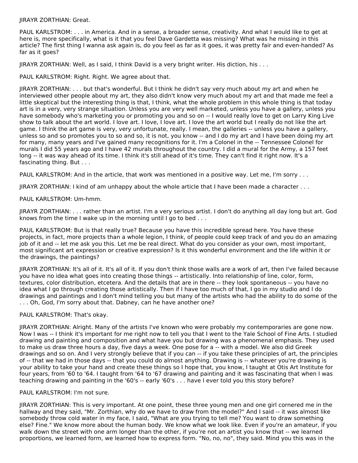### JIRAYR ZORTHIAN: Great.

PAUL KARLSTROM: . . . in America. And in a sense, a broader sense, creativity. And what I would like to get at here is, more specifically, what is it that you feel Dave Gardetta was missing? What was he missing in this article? The first thing I wanna ask again is, do you feel as far as it goes, it was pretty fair and even-handed? As far as it goes?

JIRAYR ZORTHIAN: Well, as I said, I think David is a very bright writer. His diction, his . . .

PAUL KARLSTROM: Right. Right. We agree about that.

JIRAYR ZORTHIAN: . . . but that's wonderful. But I think he didn't say very much about my art and when he interviewed other people about my art, they also didn't know very much about my art and that made me feel a little skeptical but the interesting thing is that, I think, what the whole problem in this whole thing is that today art is in a very, very strange situation. Unless you are very well marketed, unless you have a gallery, unless you have somebody who's marketing you or promoting you and so on -- I would really love to get on Larry King Live show to talk about the art world. I love art. I love, I love art. I love the art world but I really do not like the art game. I think the art game is very, very unfortunate, really. I mean, the galleries -- unless you have a gallery, unless so and so promotes you to so and so, it is not, you know -- and I do my art and I have been doing my art for many, many years and I've gained many recognitions for it. I'm a Colonel in the -- Tennessee Colonel for murals I did 55 years ago and I have 42 murals throughout the country. I did a mural for the Army, a 157 feet long -- it was way ahead of its time. I think it's still ahead of it's time. They can't find it right now. It's a fascinating thing. But . . .

PAUL KARLSTROM: And in the article, that work was mentioned in a positive way. Let me, I'm sorry . . .

JIRAYR ZORTHIAN: I kind of am unhappy about the whole article that I have been made a character . . .

PAUL KARLSTROM: Um-hmm.

JIRAYR ZORTHIAN: . . . rather than an artist. I'm a very serious artist. I don't do anything all day long but art. God knows from the time I wake up in the morning until I go to bed . . .

PAUL KARLSTROM: But is that really true? Because you have this incredible spread here. You have these projects, in fact, more projects than a whole legion, I think, of people could keep track of and you do an amazing job of it and -- let me ask you this. Let me be real direct. What do you consider as your own, most important, most significant art expression or creative expression? Is it this wonderful environment and the life within it or the drawings, the paintings?

JIRAYR ZORTHIAN: It's all of it. It's all of it. If you don't think those walls are a work of art, then I've failed because you have no idea what goes into creating those things -- artistically. Into relationship of line, color, form, textures, color distribution, etcetera. And the details that are in there -- they look spontaneous -- you have no idea what I go through creating those artistically. Then if I have too much of that, I go in my studio and I do drawings and paintings and I don't mind telling you but many of the artists who had the ability to do some of the . . . Oh, God, I'm sorry about that. Dabney, can he have another one?

# PAUL KARLSTROM: That's okay.

JIRAYR ZORTHIAN: Alright. Many of the artists I've known who were probably my contemporaries are gone now. Now I was -- I think it's important for me right now to tell you that I went to the Yale School of Fine Arts. I studied drawing and painting and composition and what have you but drawing was a phenomenal emphasis. They used to make us draw three hours a day, five days a week. One pose for a -- with a model. We also did Greek drawings and so on. And I very strongly believe that if you can -- if you take these principles of art, the principles of -- that we had in those days -- that you could do almost anything. Drawing is -- whatever you're drawing is your ability to take your hand and create these things so I hope that, you know, I taught at Otis Art Institute for four years, from '60 to '64. I taught from '64 to '67 drawing and painting and it was fascinating that when I was teaching drawing and painting in the '60's -- early '60's . . . have I ever told you this story before?

### PAUL KARLSTROM: I'm not sure.

JIRAYR ZORTHIAN: This is very important. At one point, these three young men and one girl cornered me in the hallway and they said, "Mr. Zorthian, why do we have to draw from the model?" And I said -- it was almost like somebody throw cold water in my face, I said, "What are you trying to tell me? You want to draw something else? Fine." We know more about the human body. We know what we look like. Even if you're an amateur, if you walk down the street with one arm longer than the other, if you're not an artist you know that -- we learned proportions, we learned form, we learned how to express form. "No, no, no", they said. Mind you this was in the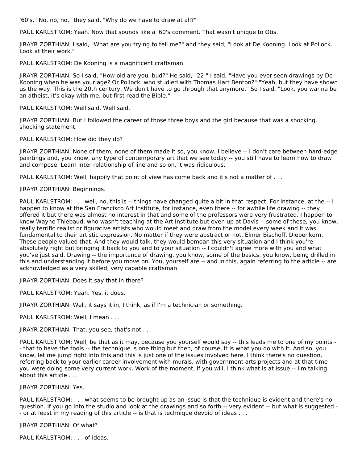'60's. "No, no, no," they said, "Why do we have to draw at all?"

PAUL KARLSTROM: Yeah. Now that sounds like a '60's comment. That wasn't unique to Otis.

JIRAYR ZORTHIAN: I said, "What are you trying to tell me?" and they said, "Look at De Kooning. Look at Pollock. Look at their work."

PAUL KARLSTROM: De Kooning is a magnificent craftsman.

JIRAYR ZORTHIAN: So I said, "How old are you, bud?" He said, "22." I said, "Have you ever seen drawings by De Kooning when he was your age? Or Pollock, who studied with Thomas Hart Benton?" "Yeah, but they have shown us the way. This is the 20th century. We don't have to go through that anymore." So I said, "Look, you wanna be an atheist, it's okay with me, but first read the Bible."

PAUL KARLSTROM: Well said. Well said.

JIRAYR ZORTHIAN: But I followed the career of those three boys and the girl because that was a shocking, shocking statement.

PAUL KARLSTROM: How did they do?

JIRAYR ZORTHIAN: None of them, none of them made it so, you know, I believe -- I don't care between hard-edge paintings and, you know, any type of contemporary art that we see today -- you still have to learn how to draw and compose. Learn inter relationship of line and so on. It was ridiculous.

PAUL KARLSTROM: Well, happily that point of view has come back and it's not a matter of . . .

JIRAYR ZORTHIAN: Beginnings.

PAUL KARLSTROM: . . . well, no, this is -- things have changed quite a bit in that respect. For instance, at the -- I happen to know at the San Francisco Art Institute, for instance, even there -- for awhile life drawing -- they offered it but there was almost no interest in that and some of the professors were very frustrated. I happen to know Wayne Thiebaud, who wasn't teaching at the Art Institute but even up at Davis -- some of these, you know, really terrific realist or figurative artists who would meet and draw from the model every week and it was fundamental to their artistic expression. No matter if they were abstract or not. Elmer Bischoff, Diebenkorn. These people valued that. And they would talk, they would bemoan this very situation and I think you're absolutely right but bringing it back to you and to your situation -- I couldn't agree more with you and what you've just said. Drawing -- the importance of drawing, you know, some of the basics, you know, being drilled in this and understanding it before you move on. You, yourself are -- and in this, again referring to the article -- are acknowledged as a very skilled, very capable craftsman.

JIRAYR ZORTHIAN: Does it say that in there?

PAUL KARLSTROM: Yeah. Yes, it does.

JIRAYR ZORTHIAN: Well, it says it in, I think, as if I'm a technician or something.

PAUL KARLSTROM: Well, I mean . . .

JIRAYR ZORTHIAN: That, you see, that's not . . .

PAUL KARLSTROM: Well, be that as it may, because you yourself would say -- this leads me to one of my points - - that to have the tools -- the technique is one thing but then, of course, it is what you do with it. And so, you know, let me jump right into this and this is just one of the issues involved here. I think there's no question, referring back to your earlier career involvement with murals, with government arts projects and at that time you were doing some very current work. Work of the moment, if you will. I think what is at issue -- I'm talking about this article . . .

JIRAYR ZORTHIAN: Yes.

PAUL KARLSTROM: . . . what seems to be brought up as an issue is that the technique is evident and there's no question. If you go into the studio and look at the drawings and so forth -- very evident -- but what is suggested - - or at least in my reading of this article -- is that is technique devoid of ideas . . .

JIRAYR ZORTHIAN: Of what?

PAUL KARLSTROM: . . . of ideas.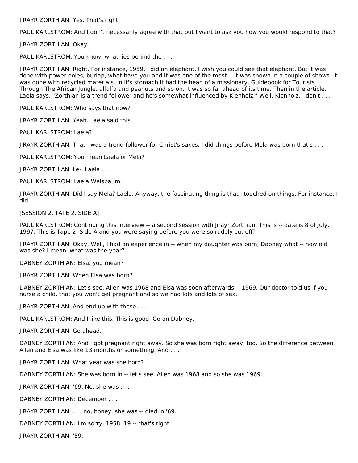JIRAYR ZORTHIAN: Yes. That's right.

PAUL KARLSTROM: And I don't necessarily agree with that but I want to ask you how you would respond to that?

JIRAYR ZORTHIAN: Okay.

PAUL KARLSTROM: You know, what lies behind the . . .

JIRAYR ZORTHIAN: Right. For instance, 1959, I did an elephant. I wish you could see that elephant. But it was done with power poles, burlap, what-have-you and it was one of the most -- it was shown in a couple of shows. It was done with recycled materials. In it's stomach it had the head of a missionary, Guidebook for Tourists Through The African Jungle, alfalfa and peanuts and so on. It was so far ahead of its time. Then in the article, Laela says, "Zorthian is a trend-follower and he's somewhat influenced by Kienholz." Well, Kienholz, I don't . . .

PAUL KARLSTROM: Who says that now?

JIRAYR ZORTHIAN: Yeah. Laela said this.

PAUL KARLSTROM: Laela?

JIRAYR ZORTHIAN: That I was a trend-follower for Christ's sakes. I did things before Mela was born that's . . .

PAUL KARLSTROM: You mean Laela or Mela?

JIRAYR ZORTHIAN: Le-, Laela . . .

PAUL KARLSTROM: Laela Weisbaum.

JIRAYR ZORTHIAN: Did I say Mela? Laela. Anyway, the fascinating thing is that I touched on things. For instance, I  $did \ldots$ 

[SESSION 2, TAPE 2, SIDE A]

PAUL KARLSTROM: Continuing this interview -- a second session with Jirayr Zorthian. This is -- date is 8 of July, 1997. This is Tape 2, Side A and you were saying before you were so rudely cut off?

JIRAYR ZORTHIAN: Okay. Well, I had an experience in -- when my daughter was born, Dabney what -- how old was she? I mean, what was the year?

DABNEY ZORTHIAN: Elsa, you mean?

JIRAYR ZORTHIAN: When Elsa was born?

DABNEY ZORTHIAN: Let's see, Allen was 1968 and Elsa was soon afterwards -- 1969. Our doctor told us if you nurse a child, that you won't get pregnant and so we had lots and lots of sex.

JIRAYR ZORTHIAN: And end up with these . . .

PAUL KARLSTROM: And I like this. This is good. Go on Dabney.

JIRAYR ZORTHIAN: Go ahead.

DABNEY ZORTHIAN: And I got pregnant right away. So she was born right away, too. So the difference between Allen and Elsa was like 13 months or something. And . . .

JIRAYR ZORTHIAN: What year was she born?

DABNEY ZORTHIAN: She was born in -- let's see, Allen was 1968 and so she was 1969.

JIRAYR ZORTHIAN: '69. No, she was . . .

DABNEY ZORTHIAN: December . . .

JIRAYR ZORTHIAN: . . . no, honey, she was -- died in '69.

DABNEY ZORTHIAN: I'm sorry, 1958. 19 -- that's right.

JIRAYR ZORTHIAN: '59.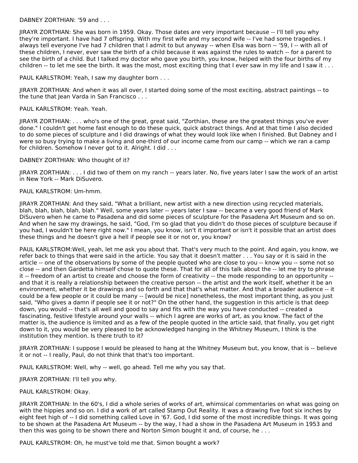DABNEY ZORTHIAN: '59 and . . .

JIRAYR ZORTHIAN: She was born in 1959. Okay. Those dates are very important because -- I'll tell you why they're important. I have had 7 offspring. With my first wife and my second wife -- I've had some tragedies. I always tell everyone I've had 7 children that I admit to but anyway -- when Elsa was born -- '59, I -- with all of these children, I never, ever saw the birth of a child because it was against the rules to watch -- for a parent to see the birth of a child. But I talked my doctor who gave you birth, you know, helped with the four births of my children  $-$  to let me see the birth. It was the most, most exciting thing that I ever saw in my life and I saw it  $\ldots$ 

PAUL KARLSTROM: Yeah, I saw my daughter born . . .

JIRAYR ZORTHIAN: And when it was all over, I started doing some of the most exciting, abstract paintings -- to the tune that Jean Varda in San Francisco . . .

# PAUL KARLSTROM: Yeah. Yeah.

JIRAYR ZORTHIAN: . . . who's one of the great, great said, "Zorthian, these are the greatest things you've ever done." I couldn't get home fast enough to do these quick, quick abstract things. And at that time I also decided to do some pieces of sculpture and I did drawings of what they would look like when I finished. But Dabney and I were so busy trying to make a living and one-third of our income came from our camp -- which we ran a camp for children. Somehow I never got to it. Alright. I did . . .

# DABNEY ZORTHIAN: Who thought of it?

JIRAYR ZORTHIAN: . . . I did two of them on my ranch -- years later. No, five years later I saw the work of an artist in New York -- Mark DiSuvero.

# PAUL KARLSTROM: Um-hmm.

JIRAYR ZORTHIAN: And they said, "What a brilliant, new artist with a new direction using recycled materials, blah, blah, blah, blah, blah." Well, some years later -- years later I saw -- became a very good friend of Mark DiSuvero when he came to Pasadena and did some pieces of sculpture for the Pasadena Art Museum and so on. And when he saw my drawings, he said, "God, I'm so glad that you didn't do those pieces of sculpture because if you had, I wouldn't be here right now." I mean, you know, isn't it important or isn't it possible that an artist does these things and he doesn't give a hell if people see it or not or, you know?

PAUL KARLSTROM:Well, yeah, let me ask you about that. That's very much to the point. And again, you know, we refer back to things that were said in the article. You say that it doesn't matter . . . You say or it is said in the article -- one of the observations by some of the people quoted who are close to you -- know you -- some not so close -- and then Gardetta himself chose to quote these. That for all of this talk about the -- let me try to phrase it -- freedom of an artist to create and choose the form of creativity -- the mode responding to an opportunity - and that it is really a relationship between the creative person -- the artist and the work itself, whether it be an environment, whether it be drawings and so forth and that that's what matter. And that a broader audience -- it could be a few people or it could be many -- [would be nice] nonetheless, the most important thing, as you just said, "Who gives a damn if people see it or not?" On the other hand, the suggestion in this article is that deep down, you would -- that's all well and good to say and fits with the way you have conducted -- created a fascinating, festive lifestyle around your walls -- which I agree are works of art, as you know. The fact of the matter is, the audience is limited and as a few of the people quoted in the article said, that finally, you get right down to it, you would be very pleased to be acknowledged hanging in the Whitney Museum, I think is the institution they mention. Is there truth to it?

JIRAYR ZORTHIAN: I suppose I would be pleased to hang at the Whitney Museum but, you know, that is -- believe it or not -- I really, Paul, do not think that that's too important.

PAUL KARLSTROM: Well, why -- well, go ahead. Tell me why you say that.

JIRAYR ZORTHIAN: I'll tell you why.

# PAUL KARLSTROM: Okay.

JIRAYR ZORTHIAN: In the 60's, I did a whole series of works of art, whimsical commentaries on what was going on with the hippies and so on. I did a work of art called Stamp Out Reality. It was a drawing five foot six inches by eight feet high of -- I did something called Love in '67. God, I did some of the most incredible things. It was going to be shown at the Pasadena Art Museum -- by the way, I had a show in the Pasadena Art Museum in 1953 and then this was going to be shown there and Norton Simon bought it and, of course, he...

PAUL KARLSTROM: Oh, he must've told me that. Simon bought a work?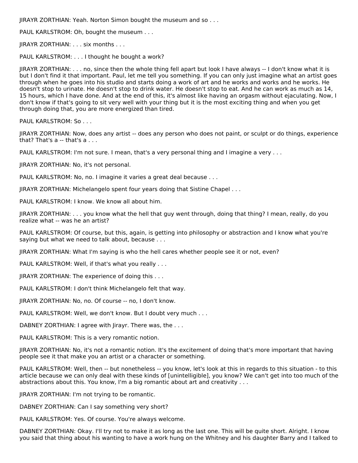JIRAYR ZORTHIAN: Yeah. Norton Simon bought the museum and so . . .

PAUL KARLSTROM: Oh, bought the museum . . .

JIRAYR ZORTHIAN: . . . six months . . .

PAUL KARLSTROM: . . . I thought he bought a work?

JIRAYR ZORTHIAN: . . . no, since then the whole thing fell apart but look I have always -- I don't know what it is but I don't find it that important. Paul, let me tell you something. If you can only just imagine what an artist goes through when he goes into his studio and starts doing a work of art and he works and works and he works. He doesn't stop to urinate. He doesn't stop to drink water. He doesn't stop to eat. And he can work as much as 14, 15 hours, which I have done. And at the end of this, it's almost like having an orgasm without ejaculating. Now, I don't know if that's going to sit very well with your thing but it is the most exciting thing and when you get through doing that, you are more energized than tired.

PAUL KARLSTROM: So . . .

JIRAYR ZORTHIAN: Now, does any artist -- does any person who does not paint, or sculpt or do things, experience that? That's a -- that's a . . .

PAUL KARLSTROM: I'm not sure. I mean, that's a very personal thing and I imagine a very . . .

JIRAYR ZORTHIAN: No, it's not personal.

PAUL KARLSTROM: No, no. I imagine it varies a great deal because . . .

JIRAYR ZORTHIAN: Michelangelo spent four years doing that Sistine Chapel . . .

PAUL KARLSTROM: I know. We know all about him.

JIRAYR ZORTHIAN: . . . you know what the hell that guy went through, doing that thing? I mean, really, do you realize what -- was he an artist?

PAUL KARLSTROM: Of course, but this, again, is getting into philosophy or abstraction and I know what you're saying but what we need to talk about, because . . .

JIRAYR ZORTHIAN: What I'm saying is who the hell cares whether people see it or not, even?

PAUL KARLSTROM: Well, if that's what you really . . .

JIRAYR ZORTHIAN: The experience of doing this . . .

PAUL KARLSTROM: I don't think Michelangelo felt that way.

JIRAYR ZORTHIAN: No, no. Of course -- no, I don't know.

PAUL KARLSTROM: Well, we don't know. But I doubt very much . . .

DABNEY ZORTHIAN: I agree with Jirayr. There was, the . . .

PAUL KARLSTROM: This is a very romantic notion.

JIRAYR ZORTHIAN: No, it's not a romantic notion. It's the excitement of doing that's more important that having people see it that make you an artist or a character or something.

PAUL KARLSTROM: Well, then -- but nonetheless -- you know, let's look at this in regards to this situation - to this article because we can only deal with these kinds of [unintelligible], you know? We can't get into too much of the abstractions about this. You know, I'm a big romantic about art and creativity . . .

JIRAYR ZORTHIAN: I'm not trying to be romantic.

DABNEY ZORTHIAN: Can I say something very short?

PAUL KARLSTROM: Yes. Of course. You're always welcome.

DABNEY ZORTHIAN: Okay. I'll try not to make it as long as the last one. This will be quite short. Alright. I know you said that thing about his wanting to have a work hung on the Whitney and his daughter Barry and I talked to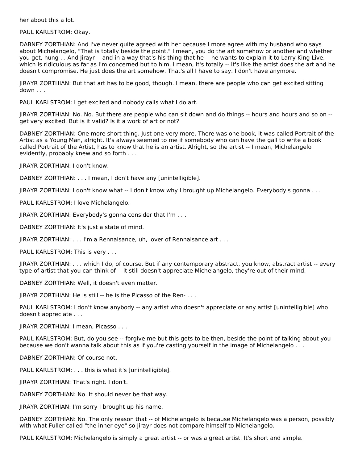her about this a lot.

PAUL KARLSTROM: Okay.

DABNEY ZORTHIAN: And I've never quite agreed with her because I more agree with my husband who says about Michelangelo, "That is totally beside the point." I mean, you do the art somehow or another and whether you get, hung ... And Jirayr -- and in a way that's his thing that he -- he wants to explain it to Larry King Live, which is ridiculous as far as I'm concerned but to him, I mean, it's totally -- it's like the artist does the art and he doesn't compromise. He just does the art somehow. That's all I have to say. I don't have anymore.

JIRAYR ZORTHIAN: But that art has to be good, though. I mean, there are people who can get excited sitting down . . .

PAUL KARLSTROM: I get excited and nobody calls what I do art.

JIRAYR ZORTHIAN: No. No. But there are people who can sit down and do things -- hours and hours and so on - get very excited. But is it valid? Is it a work of art or not?

DABNEY ZORTHIAN: One more short thing. Just one very more. There was one book, it was called Portrait of the Artist as a Young Man, alright. It's always seemed to me if somebody who can have the gall to write a book called Portrait of the Artist, has to know that he is an artist. Alright, so the artist -- I mean, Michelangelo evidently, probably knew and so forth . . .

JIRAYR ZORTHIAN: I don't know.

DABNEY ZORTHIAN: . . . I mean, I don't have any [unintelligible].

JIRAYR ZORTHIAN: I don't know what -- I don't know why I brought up Michelangelo. Everybody's gonna . . .

PAUL KARLSTROM: I love Michelangelo.

JIRAYR ZORTHIAN: Everybody's gonna consider that I'm . . .

DABNEY ZORTHIAN: It's just a state of mind.

JIRAYR ZORTHIAN: . . . I'm a Rennaisance, uh, lover of Rennaisance art . . .

PAUL KARLSTROM: This is very . . .

JIRAYR ZORTHIAN: . . . which I do, of course. But if any contemporary abstract, you know, abstract artist -- every type of artist that you can think of -- it still doesn't appreciate Michelangelo, they're out of their mind.

DABNEY ZORTHIAN: Well, it doesn't even matter.

JIRAYR ZORTHIAN: He is still -- he is the Picasso of the Ren- . . .

PAUL KARLSTROM: I don't know anybody -- any artist who doesn't appreciate or any artist [unintelligible] who doesn't appreciate . . .

JIRAYR ZORTHIAN: I mean, Picasso . . .

PAUL KARLSTROM: But, do you see -- forgive me but this gets to be then, beside the point of talking about you because we don't wanna talk about this as if you're casting yourself in the image of Michelangelo . . .

DABNEY ZORTHIAN: Of course not.

PAUL KARLSTROM: . . . this is what it's [unintelligible].

JIRAYR ZORTHIAN: That's right. I don't.

DABNEY ZORTHIAN: No. It should never be that way.

JIRAYR ZORTHIAN: I'm sorry I brought up his name.

DABNEY ZORTHIAN: No. The only reason that -- of Michelangelo is because Michelangelo was a person, possibly with what Fuller called "the inner eye" so Jirayr does not compare himself to Michelangelo.

PAUL KARLSTROM: Michelangelo is simply a great artist -- or was a great artist. It's short and simple.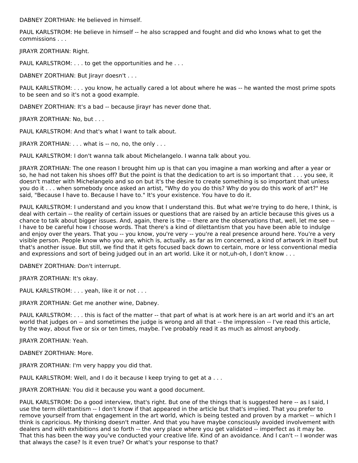DABNEY ZORTHIAN: He believed in himself.

PAUL KARLSTROM: He believe in himself -- he also scrapped and fought and did who knows what to get the commissions . . .

JIRAYR ZORTHIAN: Right.

PAUL KARLSTROM: . . . to get the opportunities and he . . .

DABNEY ZORTHIAN: But Jirayr doesn't . . .

PAUL KARLSTROM: . . . you know, he actually cared a lot about where he was -- he wanted the most prime spots to be seen and so it's not a good example.

DABNEY ZORTHIAN: It's a bad -- because Jirayr has never done that.

JIRAYR ZORTHIAN: No, but . . .

PAUL KARLSTROM: And that's what I want to talk about.

 $IIRAYR ZORTHIAN: ...$  what is -- no, no, the only  $\ldots$ 

PAUL KARLSTROM: I don't wanna talk about Michelangelo. I wanna talk about you.

JIRAYR ZORTHIAN: The one reason I brought him up is that can you imagine a man working and after a year or so, he had not taken his shoes off? But the point is that the dedication to art is so important that . . . you see, it doesn't matter with Michelangelo and so on but it's the desire to create something is so important that unless you do it . . . when somebody once asked an artist, "Why do you do this? Why do you do this work of art?" He said, "Because I have to. Because I have to." It's your existence. You have to do it.

PAUL KARLSTROM: I understand and you know that I understand this. But what we're trying to do here, I think, is deal with certain -- the reality of certain issues or questions that are raised by an article because this gives us a chance to talk about bigger issues. And, again, there is the -- there are the observations that, well, let me see -- I have to be careful how I choose words. That there's a kind of dilettantism that you have been able to indulge and enjoy over the years. That you -- you know, you're very -- you're a real presence around here. You're a very visible person. People know who you are, which is, actually, as far as Im concerned, a kind of artwork in itself but that's another issue. But still, we find that it gets focused back down to certain, more or less conventional media and expressions and sort of being judged out in an art world. Like it or not, uh-oh, I don't know . . .

DABNEY ZORTHIAN: Don't interrupt.

JIRAYR ZORTHIAN: It's okay.

PAUL KARLSTROM: . . . yeah, like it or not . . .

JIRAYR ZORTHIAN: Get me another wine, Dabney.

PAUL KARLSTROM: . . . this is fact of the matter -- that part of what is at work here is an art world and it's an art world that judges on -- and sometimes the judge is wrong and all that -- the impression -- I've read this article, by the way, about five or six or ten times, maybe. I've probably read it as much as almost anybody.

JIRAYR ZORTHIAN: Yeah.

DABNEY ZORTHIAN: More.

JIRAYR ZORTHIAN: I'm very happy you did that.

PAUL KARLSTROM: Well, and I do it because I keep trying to get at a . . .

JIRAYR ZORTHIAN: You did it because you want a good document.

PAUL KARLSTROM: Do a good interview, that's right. But one of the things that is suggested here -- as I said, I use the term dilettantism -- I don't know if that appeared in the article but that's implied. That you prefer to remove yourself from that engagement in the art world, which is being tested and proven by a market -- which I think is capricious. My thinking doesn't matter. And that you have maybe consciously avoided involvement with dealers and with exhibitions and so forth -- the very place where you get validated -- imperfect as it may be. That this has been the way you've conducted your creative life. Kind of an avoidance. And I can't -- I wonder was that always the case? Is it even true? Or what's your response to that?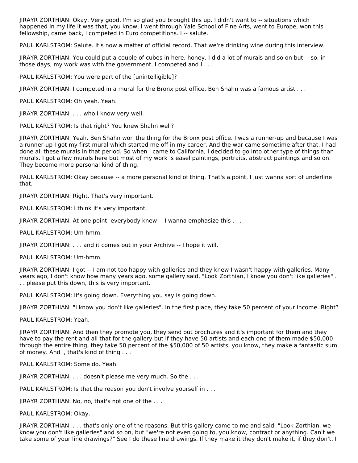JIRAYR ZORTHIAN: Okay. Very good. I'm so glad you brought this up. I didn't want to -- situations which happened in my life it was that, you know, I went through Yale School of Fine Arts, went to Europe, won this fellowship, came back, I competed in Euro competitions. I -- salute.

PAUL KARLSTROM: Salute. It's now a matter of official record. That we're drinking wine during this interview.

JIRAYR ZORTHIAN: You could put a couple of cubes in here, honey. I did a lot of murals and so on but -- so, in those days, my work was with the government. I competed and I . . .

PAUL KARLSTROM: You were part of the [unintelligible]?

JIRAYR ZORTHIAN: I competed in a mural for the Bronx post office. Ben Shahn was a famous artist . . .

PAUL KARLSTROM: Oh yeah. Yeah.

JIRAYR ZORTHIAN: . . . who I know very well.

PAUL KARLSTROM: Is that right? You knew Shahn well?

JIRAYR ZORTHIAN: Yeah. Ben Shahn won the thing for the Bronx post office. I was a runner-up and because I was a runner-up I got my first mural which started me off in my career. And the war came sometime after that. I had done all these murals in that period. So when I came to California, I decided to go into other type of things than murals. I got a few murals here but most of my work is easel paintings, portraits, abstract paintings and so on. They become more personal kind of thing.

PAUL KARLSTROM: Okay because -- a more personal kind of thing. That's a point. I just wanna sort of underline that.

JIRAYR ZORTHIAN: Right. That's very important.

PAUL KARLSTROM: I think it's very important.

JIRAYR ZORTHIAN: At one point, everybody knew -- I wanna emphasize this . . .

PAUL KARLSTROM: Um-hmm.

JIRAYR ZORTHIAN: . . . and it comes out in your Archive -- I hope it will.

PAUL KARLSTROM: Um-hmm.

JIRAYR ZORTHIAN: I got -- I am not too happy with galleries and they knew I wasn't happy with galleries. Many years ago, I don't know how many years ago, some gallery said, "Look Zorthian, I know you don't like galleries" . . . please put this down, this is very important.

PAUL KARLSTROM: It's going down. Everything you say is going down.

JIRAYR ZORTHIAN: "I know you don't like galleries". In the first place, they take 50 percent of your income. Right?

PAUL KARLSTROM: Yeah.

JIRAYR ZORTHIAN: And then they promote you, they send out brochures and it's important for them and they have to pay the rent and all that for the gallery but if they have 50 artists and each one of them made \$50,000 through the entire thing, they take 50 percent of the \$50,000 of 50 artists, you know, they make a fantastic sum of money. And I, that's kind of thing . . .

PAUL KARLSTROM: Some do. Yeah.

JIRAYR ZORTHIAN: . . . doesn't please me very much. So the . . .

PAUL KARLSTROM: Is that the reason you don't involve yourself in . . .

JIRAYR ZORTHIAN: No, no, that's not one of the . . .

PAUL KARLSTROM: Okay.

JIRAYR ZORTHIAN: . . . that's only one of the reasons. But this gallery came to me and said, "Look Zorthian, we know you don't like galleries" and so on, but "we're not even going to, you know, contract or anything. Can't we take some of your line drawings?" See I do these line drawings. If they make it they don't make it, if they don't, I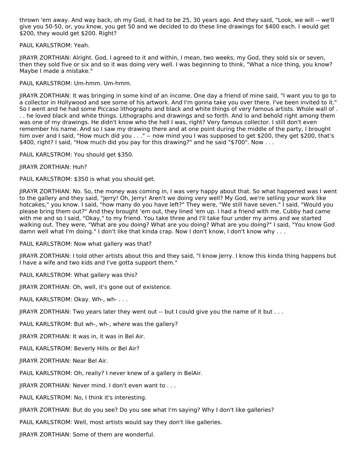thrown 'em away. And way back, oh my God, it had to be 25, 30 years ago. And they said, "Look, we will -- we'll give you 50-50, or, you know, you get 50 and we decided to do these line drawings for \$400 each. I would get \$200, they would get \$200. Right?

PAUL KARLSTROM: Yeah.

JIRAYR ZORTHIAN: Alright. God, I agreed to it and within, I mean, two weeks, my God, they sold six or seven, then they sold five or six and so it was doing very well. I was beginning to think, "What a nice thing, you know? Maybe I made a mistake."

PAUL KARLSTROM: Um-hmm. Um-hmm.

JIRAYR ZORTHIAN: It was bringing in some kind of an income. One day a friend of mine said, "I want you to go to a collector in Hollywood and see some of his artwork. And I'm gonna take you over there. I've been invited to it." So I went and he had some Piccaso lithographs and black and white things of very famous artists. Whole wall of . . . he loved black and white things. Lithographs and drawings and so forth. And lo and behold right among them was one of my drawings. He didn't know who the hell I was, right? Very famous collector. I still don't even remember his name. And so I saw my drawing there and at one point during the middle of the party, I brought him over and I said, "How much did you . . ." -- now mind you I was supposed to get \$200, they get \$200, that's \$400, right? I said, "How much did you pay for this drawing?" and he said "\$700". Now . . .

PAUL KARLSTROM: You should get \$350.

JIRAYR ZORTHIAN: Huh?

PAUL KARLSTROM: \$350 is what you should get.

JIRAYR ZORTHIAN: No. So, the money was coming in, I was very happy about that. So what happened was I went to the gallery and they said, "Jerry! Oh, Jerry! Aren't we doing very well? My God, we're selling your work like hotcakes," you know. I said, "how many do you have left?" They were, "We still have seven." I said, "Would you please bring them out?" And they brought 'em out, they lined 'em up. I had a friend with me, Cubby had came with me and so I said, "Okay," to my friend. You take three and I'll take four under my arms and we started walking out. They were, "What are you doing? What are you doing? What are you doing?" I said, "You know God damn well what I'm doing." I don't like that kinda crap. Now I don't know, I don't know why . . .

PAUL KARLSTROM: Now what gallery was that?

JIRAYR ZORTHIAN: I told other artists about this and they said, "I know Jerry. I know this kinda thing happens but I have a wife and two kids and I've gotta support them."

PAUL KARLSTROM: What gallery was this?

JIRAYR ZORTHIAN: Oh, well, it's gone out of existence.

PAUL KARLSTROM: Okay. Wh-, wh- . . .

JIRAYR ZORTHIAN: Two years later they went out -- but I could give you the name of it but . . .

PAUL KARLSTROM: But wh-, wh-, where was the gallery?

JIRAYR ZORTHIAN: It was in, it was in Bel Air.

PAUL KARLSTROM: Beverly Hills or Bel Air?

JIRAYR ZORTHIAN: Near Bel Air.

PAUL KARLSTROM: Oh, really? I never knew of a gallery in BelAir.

JIRAYR ZORTHIAN: Never mind. I don't even want to . . .

PAUL KARLSTROM: No, I think it's interesting.

JIRAYR ZORTHIAN: But do you see? Do you see what I'm saying? Why I don't like galleries?

PAUL KARLSTROM: Well, most artists would say they don't like galleries.

JIRAYR ZORTHIAN: Some of them are wonderful.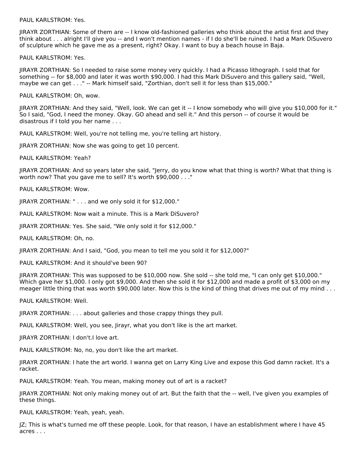PAUL KARLSTROM: Yes.

JIRAYR ZORTHIAN: Some of them are -- I know old-fashioned galleries who think about the artist first and they think about . . . alright I'll give you -- and I won't mention names - if I do she'll be ruined. I had a Mark DiSuvero of sculpture which he gave me as a present, right? Okay. I want to buy a beach house in Baja.

PAUL KARLSTROM: Yes.

JIRAYR ZORTHIAN: So I needed to raise some money very quickly. I had a Picasso lithograph. I sold that for something -- for \$8,000 and later it was worth \$90,000. I had this Mark DiSuvero and this gallery said, "Well, maybe we can get . . ." -- Mark himself said, "Zorthian, don't sell it for less than \$15,000."

PAUL KARLSTROM: Oh, wow.

JIRAYR ZORTHIAN: And they said, "Well, look. We can get it -- I know somebody who will give you \$10,000 for it." So I said, "God, I need the money. Okay. GO ahead and sell it." And this person -- of course it would be disastrous if I told you her name . . .

PAUL KARLSTROM: Well, you're not telling me, you're telling art history.

JIRAYR ZORTHIAN: Now she was going to get 10 percent.

PAUL KARLSTROM: Yeah?

JIRAYR ZORTHIAN: And so years later she said, "Jerry, do you know what that thing is worth? What that thing is worth now? That you gave me to sell? It's worth \$90,000 . . ."

PAUL KARLSTROM: Wow.

JIRAYR ZORTHIAN: " . . . and we only sold it for \$12,000."

PAUL KARLSTROM: Now wait a minute. This is a Mark DiSuvero?

JIRAYR ZORTHIAN: Yes. She said, "We only sold it for \$12,000."

PAUL KARLSTROM: Oh, no.

JIRAYR ZORTHIAN: And I said, "God, you mean to tell me you sold it for \$12,000?"

PAUL KARLSTROM: And it should've been 90?

JIRAYR ZORTHIAN: This was supposed to be \$10,000 now. She sold -- she told me, "I can only get \$10,000." Which gave her \$1,000. I only got \$9,000. And then she sold it for \$12,000 and made a profit of \$3,000 on my meager little thing that was worth \$90,000 later. Now this is the kind of thing that drives me out of my mind . . .

PAUL KARLSTROM: Well.

JIRAYR ZORTHIAN: . . . about galleries and those crappy things they pull.

PAUL KARLSTROM: Well, you see, Jirayr, what you don't like is the art market.

JIRAYR ZORTHIAN: I don't.I love art.

PAUL KARLSTROM: No, no, you don't like the art market.

JIRAYR ZORTHIAN: I hate the art world. I wanna get on Larry King Live and expose this God damn racket. It's a racket.

PAUL KARLSTROM: Yeah. You mean, making money out of art is a racket?

JIRAYR ZORTHIAN: Not only making money out of art. But the faith that the -- well, I've given you examples of these things.

PAUL KARLSTROM: Yeah, yeah, yeah.

JZ; This is what's turned me off these people. Look, for that reason, I have an establishment where I have 45 acres . . .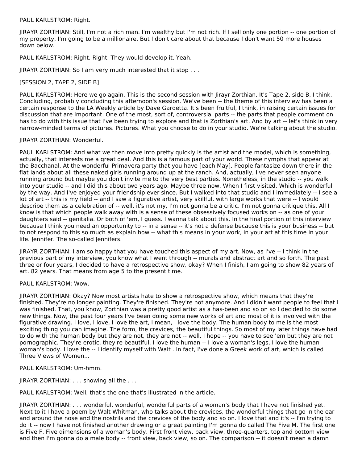# PAUL KARLSTROM: Right.

JIRAYR ZORTHIAN: Still, I'm not a rich man. I'm wealthy but I'm not rich. If I sell only one portion -- one portion of my property, I'm going to be a millionaire. But I don't care about that because I don't want 50 more houses down below.

PAUL KARLSTROM: Right. Right. They would develop it. Yeah.

JIRAYR ZORTHIAN: So I am very much interested that it stop . . .

[SESSION 2, TAPE 2, SIDE B]

PAUL KARLSTROM: Here we go again. This is the second session with Jirayr Zorthian. It's Tape 2, side B, I think. Concluding, probably concluding this afternoon's session. We've been -- the theme of this interview has been a certain response to the LA Weekly article by Dave Gardetta. It's been fruitful, I think, in raising certain issues for discussion that are important. One of the most, sort of, controversial parts -- the parts that people comment on has to do with this issue that I've been trying to explore and that is Zorthian's art. And by art -- let's think in very narrow-minded terms of pictures. Pictures. What you choose to do in your studio. We're talking about the studio.

# JIRAYR ZORTHIAN: Wonderful.

PAUL KARLSTROM: And what we then move into pretty quickly is the artist and the model, which is something, actually, that interests me a great deal. And this is a famous part of your world. These nymphs that appear at the Bacchanal. At the wonderful Primavera party that you have [each May]. People fantasize down there in the flat lands about all these naked girls running around up at the ranch. And, actually, I've never seen anyone running around but maybe you don't invite me to the very best parties. Nonetheless, in the studio -- you walk into your studio -- and I did this about two years ago. Maybe three now. When I first visited. Which is wonderful by the way. And I've enjoyed your friendship ever since. But I walked into that studio and I immediately -- I see a lot of art -- this is my field -- and I saw a figurative artist, very skillful, with large works that were -- I would describe them as a celebration of -- well, it's not my, I'm not gonna be a critic. I'm not gonna critique this. All I know is that which people walk away with is a sense of these obsessively focused works on -- as one of your daughters said -- genitalia. Or both of 'em, I guess. I wanna talk about this. In the final portion of this interview because I think you need an opportunity to -- in a sense -- it's not a defense because this is your business -- but to not respond to this so much as explain how -- what this means in your work, in your art at this time in your life. Jennifer. The so-called Jennifers.

JIRAYR ZORTHIAN: I am so happy that you have touched this aspect of my art. Now, as I've -- I think in the previous part of my interview, you know what I went through -- murals and abstract art and so forth. The past three or four years, I decided to have a retrospective show, okay? When I finish, I am going to show 82 years of art. 82 years. That means from age 5 to the present time.

### PAUL KARLSTROM: Wow.

JIRAYR ZORTHIAN: Okay? Now most artists hate to show a retrospective show, which means that they're finished. They're no longer painting. They're finished. They're not anymore. And I didn't want people to feel that I was finished. That, you know, Zorthian was a pretty good artist as a has-been and so on so I decided to do some new things. Now, the past four years I've been doing some new works of art and most of it is involved with the figurative drawing. I love, I love, I love the art, I mean, I love the body. The human body to me is the most exciting thing you can imagine. The form, the crevices, the beautiful things. So most of my later things have had to do with the human body but they are not, they are not -- well, I hope -- you have to see 'em but they are not pornographic. They're erotic, they're beautiful. I love the human -- I love a woman's legs, I love the human woman's body. I love the -- I identify myself with Walt . In fact, I've done a Greek work of art, which is called Three Views of Women...

PAUL KARLSTROM: Um-hmm.

JIRAYR ZORTHIAN: . . . showing all the . . .

PAUL KARLSTROM: Well, that's the one that's illustrated in the article.

JIRAYR ZORTHIAN: . . . wonderful, wonderful, wonderful parts of a woman's body that I have not finished yet. Next to it I have a poem by Walt Whitman, who talks about the crevices, the wonderful things that go in the ear and around the nose and the nostrils and the crevices of the body and so on. I love that and it's -- I'm trying to do it -- now I have not finished another drawing or a great painting I'm gonna do called The Five M. The first one is Five F. Five dimensions of a woman's body. First front view, back view, three-quarters, top and bottom view and then I'm gonna do a male body -- front view, back view, so on. The comparison -- it doesn't mean a damn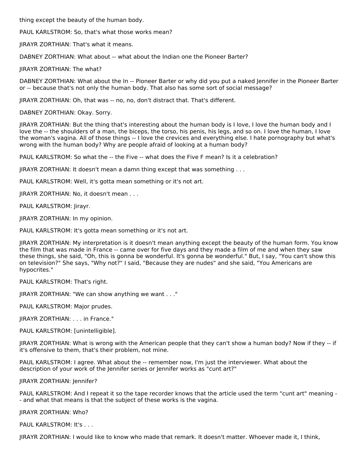thing except the beauty of the human body.

PAUL KARLSTROM: So, that's what those works mean?

JIRAYR ZORTHIAN: That's what it means.

DABNEY ZORTHIAN: What about -- what about the Indian one the Pioneer Barter?

JIRAYR ZORTHIAN: The what?

DABNEY ZORTHIAN: What about the In -- Pioneer Barter or why did you put a naked Jennifer in the Pioneer Barter or -- because that's not only the human body. That also has some sort of social message?

JIRAYR ZORTHIAN: Oh, that was -- no, no, don't distract that. That's different.

DABNEY ZORTHIAN: Okay. Sorry.

JIRAYR ZORTHIAN: But the thing that's interesting about the human body is I love, I love the human body and I love the -- the shoulders of a man, the biceps, the torso, his penis, his legs, and so on. I love the human, I love the woman's vagina. All of those things -- I love the crevices and everything else. I hate pornography but what's wrong with the human body? Why are people afraid of looking at a human body?

PAUL KARLSTROM: So what the -- the Five -- what does the Five F mean? Is it a celebration?

JIRAYR ZORTHIAN: It doesn't mean a damn thing except that was something . . .

PAUL KARLSTROM: Well, it's gotta mean something or it's not art.

JIRAYR ZORTHIAN: No, it doesn't mean . . .

PAUL KARLSTROM: Jirayr.

JIRAYR ZORTHIAN: In my opinion.

PAUL KARLSTROM: It's gotta mean something or it's not art.

JIRAYR ZORTHIAN: My interpretation is it doesn't mean anything except the beauty of the human form. You know the film that was made in France -- came over for five days and they made a film of me and when they saw these things, she said, "Oh, this is gonna be wonderful. It's gonna be wonderful." But, I say, "You can't show this on television?" She says, "Why not?" I said, "Because they are nudes" and she said, "You Americans are hypocrites."

PAUL KARLSTROM: That's right.

JIRAYR ZORTHIAN: "We can show anything we want . . ."

PAUL KARLSTROM: Major prudes.

JIRAYR ZORTHIAN: . . . in France."

PAUL KARLSTROM: [unintelligible].

JIRAYR ZORTHIAN: What is wrong with the American people that they can't show a human body? Now if they -- if it's offensive to them, that's their problem, not mine.

PAUL KARLSTROM: I agree. What about the -- remember now, I'm just the interviewer. What about the description of your work of the Jennifer series or Jennifer works as "cunt art?"

JIRAYR ZORTHIAN: Jennifer?

PAUL KARLSTROM: And I repeat it so the tape recorder knows that the article used the term "cunt art" meaning - - and what that means is that the subject of these works is the vagina.

JIRAYR ZORTHIAN: Who?

PAUL KARLSTROM: It's . . .

JIRAYR ZORTHIAN: I would like to know who made that remark. It doesn't matter. Whoever made it, I think,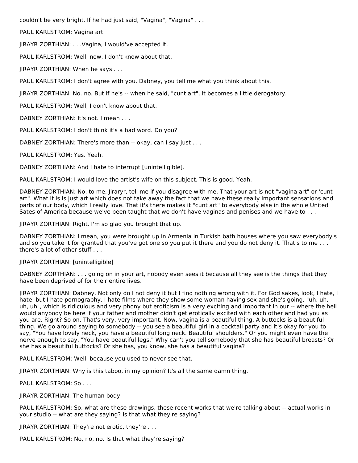couldn't be very bright. If he had just said, "Vagina", "Vagina" . . .

PAUL KARLSTROM: Vagina art.

JIRAYR ZORTHIAN: . . .Vagina, I would've accepted it.

PAUL KARLSTROM: Well, now, I don't know about that.

JIRAYR ZORTHIAN: When he says . . .

PAUL KARLSTROM: I don't agree with you. Dabney, you tell me what you think about this.

JIRAYR ZORTHIAN: No. no. But if he's -- when he said, "cunt art", it becomes a little derogatory.

PAUL KARLSTROM: Well, I don't know about that.

DABNEY ZORTHIAN: It's not. I mean . . .

PAUL KARLSTROM: I don't think it's a bad word. Do you?

DABNEY ZORTHIAN: There's more than -- okay, can I say just . . .

PAUL KARLSTROM: Yes. Yeah.

DABNEY ZORTHIAN: And I hate to interrupt [unintelligible].

PAUL KARLSTROM: I would love the artist's wife on this subject. This is good. Yeah.

DABNEY ZORTHIAN: No, to me, Jiraryr, tell me if you disagree with me. That your art is not "vagina art" or 'cunt art". What it is is just art which does not take away the fact that we have these really important sensations and parts of our body, which I really love. That it's there makes it "cunt art" to everybody else in the whole United Sates of America because we've been taught that we don't have vaginas and penises and we have to . . .

JIRAYR ZORTHIAN: Right. I'm so glad you brought that up.

DABNEY ZORTHIAN: I mean, you were brought up in Armenia in Turkish bath houses where you saw everybody's and so you take it for granted that you've got one so you put it there and you do not deny it. That's to me . . . there's a lot of other stuff . . .

### JIRAYR ZORTHIAN: [unintelligible]

DABNEY ZORTHIAN: . . . going on in your art, nobody even sees it because all they see is the things that they have been deprived of for their entire lives.

JIRAYR ZORTHIAN: Dabney. Not only do I not deny it but I find nothing wrong with it. For God sakes, look, I hate, I hate, but I hate pornography. I hate films where they show some woman having sex and she's going, "uh, uh, uh, uh", which is ridiculous and very phony but eroticism is a very exciting and important in our -- where the hell would anybody be here if your father and mother didn't get erotically excited with each other and had you as you are. Right? So on. That's very, very important. Now, vagina is a beautiful thing. A buttocks is a beautiful thing. We go around saying to somebody -- you see a beautiful girl in a cocktail party and it's okay for you to say, "You have lovely neck, you have a beautiful long neck. Beautiful shoulders." Or you might even have the nerve enough to say, "You have beautiful legs." Why can't you tell somebody that she has beautiful breasts? Or she has a beautiful buttocks? Or she has, you know, she has a beautiful vagina?

PAUL KARLSTROM: Well, because you used to never see that.

JIRAYR ZORTHIAN: Why is this taboo, in my opinion? It's all the same damn thing.

PAUL KARLSTROM: So . . .

JIRAYR ZORTHIAN: The human body.

PAUL KARLSTROM: So, what are these drawings, these recent works that we're talking about -- actual works in your studio -- what are they saying? Is that what they're saying?

JIRAYR ZORTHIAN: They're not erotic, they're . . .

PAUL KARLSTROM: No, no, no. Is that what they're saying?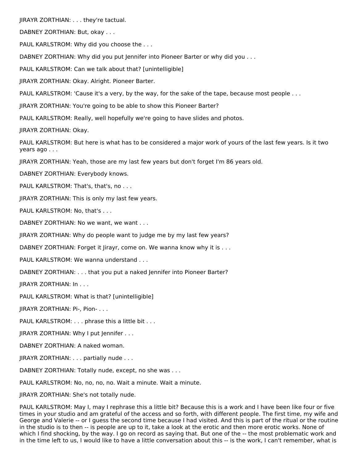JIRAYR ZORTHIAN: . . . they're tactual.

DABNEY ZORTHIAN: But, okay . . .

PAUL KARLSTROM: Why did you choose the . . .

DABNEY ZORTHIAN: Why did you put Jennifer into Pioneer Barter or why did you . . .

PAUL KARLSTROM: Can we talk about that? [unintelligible]

JIRAYR ZORTHIAN: Okay. Alright. Pioneer Barter.

PAUL KARLSTROM: 'Cause it's a very, by the way, for the sake of the tape, because most people . . .

JIRAYR ZORTHIAN: You're going to be able to show this Pioneer Barter?

PAUL KARLSTROM: Really, well hopefully we're going to have slides and photos.

JIRAYR ZORTHIAN: Okay.

PAUL KARLSTROM: But here is what has to be considered a major work of yours of the last few years. Is it two years ago . . .

JIRAYR ZORTHIAN: Yeah, those are my last few years but don't forget I'm 86 years old.

DABNEY ZORTHIAN: Everybody knows.

PAUL KARLSTROM: That's, that's, no . . .

JIRAYR ZORTHIAN: This is only my last few years.

PAUL KARLSTROM: No. that's . . .

DABNEY ZORTHIAN: No we want, we want . . .

JIRAYR ZORTHIAN: Why do people want to judge me by my last few years?

DABNEY ZORTHIAN: Forget it Jirayr, come on. We wanna know why it is . . .

PAUL KARLSTROM: We wanna understand . . .

DABNEY ZORTHIAN: . . . that you put a naked Jennifer into Pioneer Barter?

JIRAYR ZORTHIAN: In . . .

PAUL KARLSTROM: What is that? [unintelligible]

JIRAYR ZORTHIAN: Pi-, Pion- . . .

PAUL KARLSTROM: . . . phrase this a little bit . . .

JIRAYR ZORTHIAN: Why I put Jennifer . . .

DABNEY ZORTHIAN: A naked woman.

JIRAYR ZORTHIAN: . . . partially nude . . .

DABNEY ZORTHIAN: Totally nude, except, no she was . . .

PAUL KARLSTROM: No, no, no, no. Wait a minute. Wait a minute.

JIRAYR ZORTHIAN: She's not totally nude.

PAUL KARLSTROM: May I, may I rephrase this a little bit? Because this is a work and I have been like four or five times in your studio and am grateful of the access and so forth, with different people. The first time, my wife and George and Valerie -- or I guess the second time because I had visited. And this is part of the ritual or the routine in the studio is to then -- is people are up to it, take a look at the erotic and then more erotic works. None of which I find shocking, by the way. I go on record as saying that. But one of the -- the most problematic work and in the time left to us, I would like to have a little conversation about this -- is the work, I can't remember, what is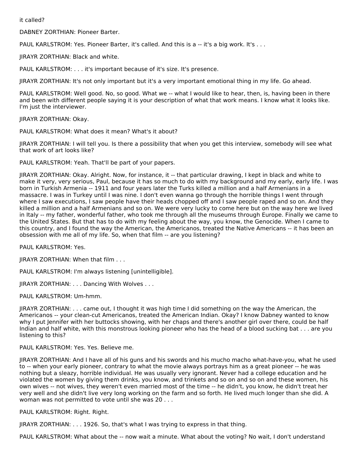it called?

DABNEY ZORTHIAN: Pioneer Barter.

PAUL KARLSTROM: Yes. Pioneer Barter, it's called. And this is a -- it's a big work. It's . . .

JIRAYR ZORTHIAN: Black and white.

PAUL KARLSTROM: . . . it's important because of it's size. It's presence.

JIRAYR ZORTHIAN: It's not only important but it's a very important emotional thing in my life. Go ahead.

PAUL KARLSTROM: Well good. No, so good. What we -- what I would like to hear, then, is, having been in there and been with different people saying it is your description of what that work means. I know what it looks like. I'm just the interviewer.

JIRAYR ZORTHIAN: Okay.

PAUL KARLSTROM: What does it mean? What's it about?

JIRAYR ZORTHIAN: I will tell you. Is there a possibility that when you get this interview, somebody will see what that work of art looks like?

PAUL KARLSTROM: Yeah. That'll be part of your papers.

JIRAYR ZORTHIAN: Okay. Alright. Now, for instance, it -- that particular drawing, I kept in black and white to make it very, very serious, Paul, because it has so much to do with my background and my early, early life. I was born in Turkish Armenia -- 1911 and four years later the Turks killed a million and a half Armenians in a massacre. I was in Turkey until I was nine. I don't even wanna go through the horrible things I went through where I saw executions, I saw people have their heads chopped off and I saw people raped and so on. And they killed a million and a half Armenians and so on. We were very lucky to come here but on the way here we lived in Italy -- my father, wonderful father, who took me through all the museums through Europe. Finally we came to the United States. But that has to do with my feeling about the way, you know, the Genocide. When I came to this country, and I found the way the American, the Americanos, treated the Native Americans -- it has been an obsession with me all of my life. So, when that film -- are you listening?

PAUL KARLSTROM: Yes.

JIRAYR ZORTHIAN: When that film . . .

PAUL KARLSTROM: I'm always listening [unintelligible].

JIRAYR ZORTHIAN: . . . Dancing With Wolves . . .

PAUL KARLSTROM: Um-hmm.

JIRAYR ZORTHIAN: . . . came out, I thought it was high time I did something on the way the American, the Americanos -- your clean-cut Americanos, treated the American Indian. Okay? I know Dabney wanted to know why I put Jennifer with her buttocks showing, with her chaps and there's another girl over there, could be half Indian and half white, with this monstrous looking pioneer who has the head of a blood sucking bat . . . are you listening to this?

PAUL KARLSTROM: Yes. Yes. Believe me.

JIRAYR ZORTHIAN: And I have all of his guns and his swords and his mucho macho what-have-you, what he used to -- when your early pioneer, contrary to what the movie always portrays him as a great pioneer -- he was nothing but a sleazy, horrible individual. He was usually very ignorant. Never had a college education and he violated the women by giving them drinks, you know, and trinkets and so on and so on and these women, his own wives -- not wives, they weren't even married most of the time -- he didn't, you know, he didn't treat her very well and she didn't live very long working on the farm and so forth. He lived much longer than she did. A woman was not permitted to vote until she was 20 . . .

PAUL KARLSTROM: Right. Right.

JIRAYR ZORTHIAN: . . . 1926. So, that's what I was trying to express in that thing.

PAUL KARLSTROM: What about the -- now wait a minute. What about the voting? No wait, I don't understand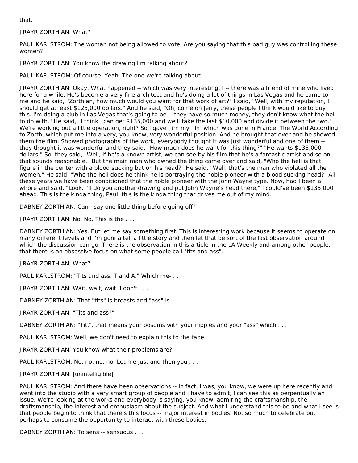that.

JIRAYR ZORTHIAN: What?

PAUL KARLSTROM: The woman not being allowed to vote. Are you saying that this bad guy was controlling these women?

JIRAYR ZORTHIAN: You know the drawing I'm talking about?

PAUL KARLSTROM: Of course. Yeah. The one we're talking about.

JIRAYR ZORTHIAN: Okay. What happened -- which was very interesting. I -- there was a friend of mine who lived here for a while. He's become a very fine architect and he's doing a lot of things in Las Vegas and he came to me and he said, "Zorthian, how much would you want for that work of art?" I said, "Well, with my reputation, I should get at least \$125,000 dollars." And he said, "Oh, come on Jerry, these people I think would like to buy this. I'm doing a club in Las Vegas that's going to be -- they have so much money, they don't know what the hell to do with." He said, "I think I can get \$135,000 and we'll take the last \$10,000 and divide it between the two." We're working out a little operation, right? So I gave him my film which was done in France, The World According to Zorth, which put me into a very, you know, very wonderful position. And he brought that over and he showed them the film. Showed photographs of the work, everybody thought it was just wonderful and one of them - they thought it was wonderful and they said, "How much does he want for this thing?" "He wants \$135,000 dollars." So, they said, "Well, if he's a known artist, we can see by his film that he's a fantastic artist and so on, that sounds reasonable." But the main man who owned the thing came over and said, "Who the hell is that figure in the center with a blood sucking bat on his head?" He said, "Well, that's the man who violated all the women." He said, "Who the hell does he think he is portraying the noble pioneer with a blood sucking head?" All these years we have been conditioned that the noble pioneer with the John Wayne type. Now, had I been a whore and said, "Look, I'll do you another drawing and put John Wayne's head there," I could've been \$135,000 ahead. This is the kinda thing, Paul, this is the kinda thing that drives me out of my mind.

DABNEY ZORTHIAN: Can I say one little thing before going off?

JIRAYR ZORTHIAN: No. No. This is the . . .

DABNEY ZORTHIAN: Yes. But let me say something first. This is interesting work because it seems to operate on many different levels and I'm gonna tell a little story and then let that be sort of the last observation around which the discussion can go. There is the observation in this article in the LA Weekly and among other people, that there is an obsessive focus on what some people call "tits and ass".

JIRAYR ZORTHIAN: What?

PAUL KARLSTROM: "Tits and ass. T and A." Which me- . . .

JIRAYR ZORTHIAN: Wait, wait, wait. I don't . . .

DABNEY ZORTHIAN: That "tits" is breasts and "ass" is . . .

JIRAYR ZORTHIAN: "Tits and ass?"

DABNEY ZORTHIAN: "Tit,", that means your bosoms with your nipples and your "ass" which . . .

PAUL KARLSTROM: Well, we don't need to explain this to the tape.

JIRAYR ZORTHIAN: You know what their problems are?

PAUL KARLSTROM: No, no, no, no. Let me just and then you . . .

JIRAYR ZORTHIAN: [unintelligible]

PAUL KARLSTROM: And there have been observations -- in fact, I was, you know, we were up here recently and went into the studio with a very smart group of people and I have to admit, I can see this as perpentually an issue. We're looking at the works and everybody is saying, you know, admiring the craftsmanship, the draftsmanship, the interest and enthusiasm about the subject. And what I understand this to be and what I see is that people begin to think that there's this focus -- major interest in bodies. Not so much to celebrate but perhaps to consume the opportunity to interact with these bodies.

DABNEY ZORTHIAN: To sens -- sensuous . . .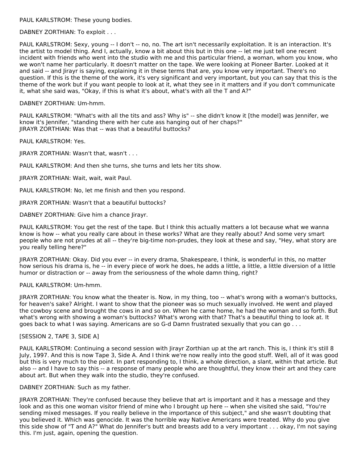PAUL KARLSTROM: These young bodies.

DABNEY ZORTHIAN: To exploit . . .

PAUL KARLSTROM: Sexy, young -- I don't -- no, no. The art isn't necessarily exploitation. It is an interaction. It's the artist to model thing. And I, actually, know a bit about this but in this one -- let me just tell one recent incident with friends who went into the studio with me and this particular friend, a woman, whom you know, who we won't name her particularly. It doesn't matter on the tape. We were looking at Pioneer Barter. Looked at it and said -- and Jirayr is saying, explaining it in these terms that are, you know very important. There's no question. If this is the theme of the work, it's very significant and very important, but you can say that this is the theme of the work but if you want people to look at it, what they see in it matters and if you don't communicate it, what she said was, "Okay, if this is what it's about, what's with all the T and A?"

DABNEY ZORTHIAN: Um-hmm.

PAUL KARLSTROM: "What's with all the tits and ass? Why is" -- she didn't know it [the model] was Jennifer, we know it's Jennifer, "standing there with her cute ass hanging out of her chaps?" JIRAYR ZORTHIAN: Was that -- was that a beautiful buttocks?

PAUL KARLSTROM: Yes.

JIRAYR ZORTHIAN: Wasn't that, wasn't . . .

PAUL KARLSTROM: And then she turns, she turns and lets her tits show.

JIRAYR ZORTHIAN: Wait, wait, wait Paul.

PAUL KARLSTROM: No, let me finish and then you respond.

JIRAYR ZORTHIAN: Wasn't that a beautiful buttocks?

DABNEY ZORTHIAN: Give him a chance Jirayr.

PAUL KARLSTROM: You get the rest of the tape. But I think this actually matters a lot because what we wanna know is how -- what you really care about in these works? What are they really about? And some very smart people who are not prudes at all -- they're big-time non-prudes, they look at these and say, "Hey, what story are you really telling here?"

JIRAYR ZORTHIAN: Okay. Did you ever -- in every drama, Shakespeare, I think, is wonderful in this, no matter how serious his drama is, he -- in every piece of work he does, he adds a little, a little, a little diversion of a little humor or distraction or -- away from the seriousness of the whole damn thing, right?

PAUL KARLSTROM: Um-hmm.

JIRAYR ZORTHIAN: You know what the theater is. Now, in my thing, too -- what's wrong with a woman's buttocks, for heaven's sake? Alright. I want to show that the pioneer was so much sexually involved. He went and played the cowboy scene and brought the cows in and so on. When he came home, he had the woman and so forth. But what's wrong with showing a woman's buttocks? What's wrong with that? That's a beautiful thing to look at. It goes back to what I was saying. Americans are so G-d Damn frustrated sexually that you can go . . .

### [SESSION 2, TAPE 3, SIDE A]

PAUL KARLSTROM: Continuing a second session with Jirayr Zorthian up at the art ranch. This is, I think it's still 8 July, 1997. And this is now Tape 3, Side A. And I think we're now really into the good stuff. Well, all of it was good but this is very much to the point. In part responding to, I think, a whole direction, a slant, within that article. But also -- and I have to say this -- a response of many people who are thoughtful, they know their art and they care about art. But when they walk into the studio, they're confused.

### DABNEY ZORTHIAN: Such as my father.

JIRAYR ZORTHIAN: They're confused because they believe that art is important and it has a message and they look and as this one woman visitor friend of mine who I brought up here -- when she visited she said, "You're sending mixed messages. If you really believe in the importance of this subject," and she wasn't doubting that you believed it. Which was genocide. It was the horrible way Native Americans were treated. Why do you give this side show of "T and A?" What do Jennifer's butt and breasts add to a very important . . . okay, I'm not saying this. I'm just, again, opening the question.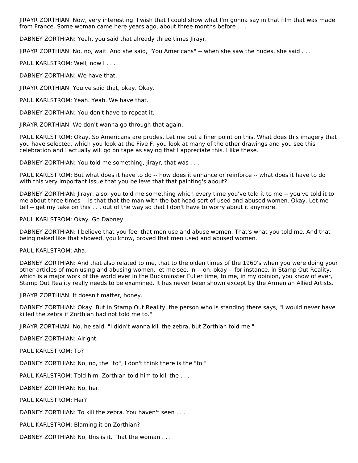JIRAYR ZORTHIAN: Now, very interesting. I wish that I could show what I'm gonna say in that film that was made from France. Some woman came here years ago, about three months before . . .

DABNEY ZORTHIAN: Yeah, you said that already three times Jirayr.

JIRAYR ZORTHIAN: No, no, wait. And she said, "You Americans" -- when she saw the nudes, she said . . .

PAUL KARLSTROM: Well, now I...

DABNEY ZORTHIAN: We have that.

JIRAYR ZORTHIAN: You've said that, okay. Okay.

PAUL KARLSTROM: Yeah. Yeah. We have that.

DABNEY ZORTHIAN: You don't have to repeat it.

JIRAYR ZORTHIAN: We don't wanna go through that again.

PAUL KARLSTROM: Okay. So Americans are prudes. Let me put a finer point on this. What does this imagery that you have selected, which you look at the Five F, you look at many of the other drawings and you see this celebration and I actually will go on tape as saying that I appreciate this. I like these.

DABNEY ZORTHIAN: You told me something, Jirayr, that was . . .

PAUL KARLSTROM: But what does it have to do -- how does it enhance or reinforce -- what does it have to do with this very important issue that you believe that that painting's about?

DABNEY ZORTHIAN: Jirayr, also, you told me something which every time you've told it to me -- you've told it to me about three times -- is that that the man with the bat head sort of used and abused women. Okay. Let me tell -- get my take on this . . . out of the way so that I don't have to worry about it anymore.

PAUL KARLSTROM: Okay. Go Dabney.

DABNEY ZORTHIAN: I believe that you feel that men use and abuse women. That's what you told me. And that being naked like that showed, you know, proved that men used and abused women.

PAUL KARLSTROM: Aha.

DABNEY ZORTHIAN: And that also related to me, that to the olden times of the 1960's when you were doing your other articles of men using and abusing women, let me see, in -- oh, okay -- for instance, in Stamp Out Reality, which is a major work of the world ever in the Buckminster Fuller time, to me, in my opinion, you know of ever, Stamp Out Reality really needs to be examined. It has never been shown except by the Armenian Allied Artists.

JIRAYR ZORTHIAN: It doesn't matter, honey.

DABNEY ZORTHIAN: Okay. But in Stamp Out Reality, the person who is standing there says, "I would never have killed the zebra if Zorthian had not told me to."

JIRAYR ZORTHIAN: No, he said, "I didn't wanna kill the zebra, but Zorthian told me."

DABNEY ZORTHIAN: Alright.

PAUL KARLSTROM: To?

DABNEY ZORTHIAN: No, no, the "to", I don't think there is the "to."

PAUL KARLSTROM: Told him ,Zorthian told him to kill the . . .

DABNEY ZORTHIAN: No, her.

PAUL KARLSTROM: Her?

DABNEY ZORTHIAN: To kill the zebra. You haven't seen . . .

PAUL KARLSTROM: Blaming it on Zorthian?

DABNEY ZORTHIAN: No, this is it. That the woman . . .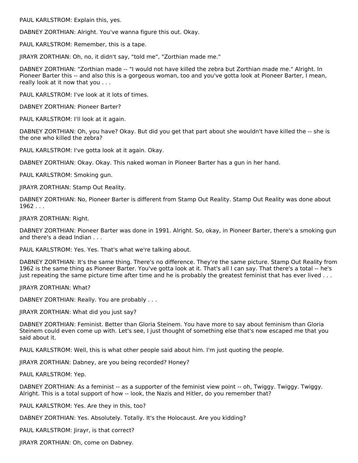PAUL KARLSTROM: Explain this, yes.

DABNEY ZORTHIAN: Alright. You've wanna figure this out. Okay.

PAUL KARLSTROM: Remember, this is a tape.

JIRAYR ZORTHIAN: Oh, no, it didn't say, "told me", "Zorthian made me."

DABNEY ZORTHIAN: "Zorthian made -- "I would not have killed the zebra but Zorthian made me." Alright. In Pioneer Barter this -- and also this is a gorgeous woman, too and you've gotta look at Pioneer Barter, I mean, really look at it now that you . . .

PAUL KARLSTROM: I've look at it lots of times.

DABNEY ZORTHIAN: Pioneer Barter?

PAUL KARLSTROM: I'll look at it again.

DABNEY ZORTHIAN: Oh, you have? Okay. But did you get that part about she wouldn't have killed the -- she is the one who killed the zebra?

PAUL KARLSTROM: I've gotta look at it again. Okay.

DABNEY ZORTHIAN: Okay. Okay. This naked woman in Pioneer Barter has a gun in her hand.

PAUL KARLSTROM: Smoking gun.

JIRAYR ZORTHIAN: Stamp Out Reality.

DABNEY ZORTHIAN: No, Pioneer Barter is different from Stamp Out Reality. Stamp Out Reality was done about 1962 . . .

JIRAYR ZORTHIAN: Right.

DABNEY ZORTHIAN: Pioneer Barter was done in 1991. Alright. So, okay, in Pioneer Barter, there's a smoking gun and there's a dead Indian . . .

PAUL KARLSTROM: Yes. Yes. That's what we're talking about.

DABNEY ZORTHIAN: It's the same thing. There's no difference. They're the same picture. Stamp Out Reality from 1962 is the same thing as Pioneer Barter. You've gotta look at it. That's all I can say. That there's a total -- he's just repeating the same picture time after time and he is probably the greatest feminist that has ever lived ...

JIRAYR ZORTHIAN: What?

DABNEY ZORTHIAN: Really. You are probably . . .

JIRAYR ZORTHIAN: What did you just say?

DABNEY ZORTHIAN: Feminist. Better than Gloria Steinem. You have more to say about feminism than Gloria Steinem could even come up with. Let's see, I just thought of something else that's now escaped me that you said about it.

PAUL KARLSTROM: Well, this is what other people said about him. I'm just quoting the people.

JIRAYR ZORTHIAN: Dabney, are you being recorded? Honey?

PAUL KARLSTROM: Yep.

DABNEY ZORTHIAN: As a feminist -- as a supporter of the feminist view point -- oh, Twiggy. Twiggy. Twiggy. Alright. This is a total support of how -- look, the Nazis and Hitler, do you remember that?

PAUL KARLSTROM: Yes. Are they in this, too?

DABNEY ZORTHIAN: Yes. Absolutely. Totally. It's the Holocaust. Are you kidding?

PAUL KARLSTROM: Jirayr, is that correct?

JIRAYR ZORTHIAN: Oh, come on Dabney.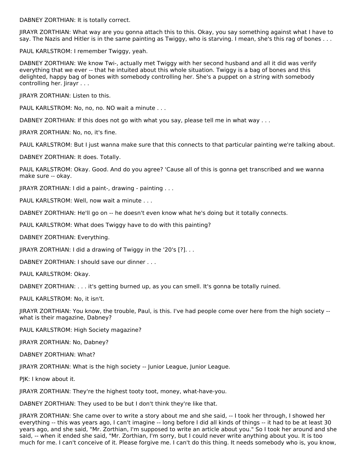DABNEY ZORTHIAN: It is totally correct.

JIRAYR ZORTHIAN: What way are you gonna attach this to this. Okay, you say something against what I have to say. The Nazis and Hitler is in the same painting as Twiggy, who is starving. I mean, she's this rag of bones . . .

PAUL KARLSTROM: I remember Twiggy, yeah.

DABNEY ZORTHIAN: We know Twi-, actually met Twiggy with her second husband and all it did was verify everything that we ever -- that he intuited about this whole situation. Twiggy is a bag of bones and this delighted, happy bag of bones with somebody controlling her. She's a puppet on a string with somebody controlling her. Jirayr . . .

JIRAYR ZORTHIAN: Listen to this.

PAUL KARLSTROM: No, no, no. NO wait a minute . . .

DABNEY ZORTHIAN: If this does not go with what you say, please tell me in what way . . .

JIRAYR ZORTHIAN: No, no, it's fine.

PAUL KARLSTROM: But I just wanna make sure that this connects to that particular painting we're talking about.

DABNEY ZORTHIAN: It does. Totally.

PAUL KARLSTROM: Okay. Good. And do you agree? 'Cause all of this is gonna get transcribed and we wanna make sure -- okay.

JIRAYR ZORTHIAN: I did a paint-, drawing - painting . . .

PAUL KARLSTROM: Well, now wait a minute . . .

DABNEY ZORTHIAN: He'll go on -- he doesn't even know what he's doing but it totally connects.

PAUL KARLSTROM: What does Twiggy have to do with this painting?

DABNEY ZORTHIAN: Everything.

JIRAYR ZORTHIAN: I did a drawing of Twiggy in the '20's [?]. . .

DABNEY ZORTHIAN: I should save our dinner . . .

PAUL KARLSTROM: Okay.

DABNEY ZORTHIAN: . . . it's getting burned up, as you can smell. It's gonna be totally ruined.

PAUL KARLSTROM: No, it isn't.

JIRAYR ZORTHIAN: You know, the trouble, Paul, is this. I've had people come over here from the high society - what is their magazine, Dabney?

PAUL KARLSTROM: High Society magazine?

JIRAYR ZORTHIAN: No, Dabney?

DABNEY ZORTHIAN: What?

JIRAYR ZORTHIAN: What is the high society -- Junior League, Junior League.

PJK: I know about it.

JIRAYR ZORTHIAN: They're the highest tooty toot, money, what-have-you.

DABNEY ZORTHIAN: They used to be but I don't think they're like that.

JIRAYR ZORTHIAN: She came over to write a story about me and she said, -- I took her through, I showed her everything -- this was years ago, I can't imagine -- long before I did all kinds of things -- it had to be at least 30 years ago, and she said, "Mr. Zorthian, I'm supposed to write an article about you." So I took her around and she said, -- when it ended she said, "Mr. Zorthian, I'm sorry, but I could never write anything about you. It is too much for me. I can't conceive of it. Please forgive me. I can't do this thing. It needs somebody who is, you know,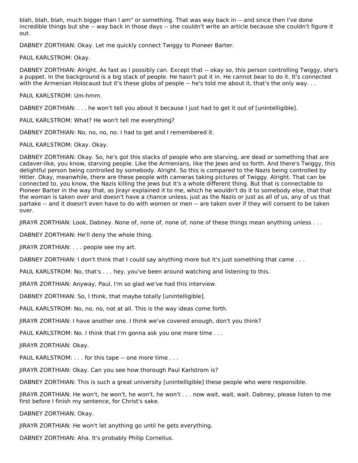blah, blah, blah, much bigger than I am" or something. That was way back in -- and since then I've done incredible things but she -- way back in those days -- she couldn't write an article because she couldn't figure it out.

DABNEY ZORTHIAN: Okay. Let me quickly connect Twiggy to Pioneer Barter.

PAUL KARLSTROM: Okay.

DABNEY ZORTHIAN: Alright. As fast as I possibly can. Except that -- okay so, this person controlling Twiggy, she's a puppet. In the background is a big stack of people. He hasn't put it in. He cannot bear to do it. It's connected with the Armenian Holocaust but it's these globs of people -- he's told me about it, that's the only way. . .

PAUL KARLSTROM: Um-hmm.

DABNEY ZORTHIAN: . . . he won't tell you about it because I just had to get it out of [unintelligible].

PAUL KARLSTROM: What? He won't tell me everything?

DABNEY ZORTHIAN: No, no, no, no. I had to get and I remembered it.

PAUL KARLSTROM: Okay. Okay.

DABNEY ZORTHIAN: Okay. So, he's got this stacks of people who are starving, are dead or something that are cadaver-like, you know, starving people. Like the Armenians, like the Jews and so forth. And there's Twiggy, this delightful person being controlled by somebody. Alright. So this is compared to the Nazis being controlled by Hitler. Okay, meanwhile, there are these people with cameras taking pictures of Twiggy. Alright. That can be connected to, you know, the Nazis killing the Jews but it's a whole different thing. But that is connectable to Pioneer Barter in the way that, as Jirayr explained it to me, which he wouldn't do it to somebody else, that that the woman is taken over and doesn't have a chance unless, just as the Nazis or just as all of us, any of us that partake -- and it doesn't even have to do with women or men -- are taken over if they will consent to be taken over.

JIRAYR ZORTHIAN: Look, Dabney. None of, none of, none of, none of these things mean anything unless . . .

DABNEY ZORTHIAN: He'll deny the whole thing.

JIRAYR ZORTHIAN: . . . people see my art.

DABNEY ZORTHIAN: I don't think that I could say anything more but it's just something that came . . .

PAUL KARLSTROM: No, that's . . . hey, you've been around watching and listening to this.

JIRAYR ZORTHIAN: Anyway, Paul, I'm so glad we've had this interview.

DABNEY ZORTHIAN: So, I think, that maybe totally [unintelligible].

PAUL KARLSTROM: No, no, no, not at all. This is the way ideas come forth.

JIRAYR ZORTHIAN: I have another one. I think we've covered enough, don't you think?

PAUL KARLSTROM: No. I think that I'm gonna ask you one more time . . .

JIRAYR ZORTHIAN: Okay.

PAUL KARLSTROM: . . . for this tape -- one more time . . .

JIRAYR ZORTHIAN: Okay. Can you see how thorough Paul Karlstrom is?

DABNEY ZORTHIAN: This is such a great university [unintelligible] these people who were responsible.

JIRAYR ZORTHIAN: He won't, he won't, he won't, he won't . . . now wait, wait, wait. Dabney, please listen to me first before I finish my sentence, for Christ's sake.

DABNEY ZORTHIAN: Okay.

JIRAYR ZORTHIAN: He won't let anything go until he gets everything.

DABNEY ZORTHIAN: Aha. It's probably Philip Cornelius.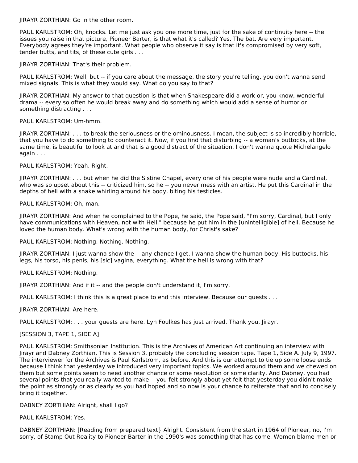JIRAYR ZORTHIAN: Go in the other room.

PAUL KARLSTROM: Oh, knocks. Let me just ask you one more time, just for the sake of continuity here -- the issues you raise in that picture, Pioneer Barter, is that what it's called? Yes. The bat. Are very important. Everybody agrees they're important. What people who observe it say is that it's compromised by very soft, tender butts, and tits, of these cute girls . . .

JIRAYR ZORTHIAN: That's their problem.

PAUL KARLSTROM: Well, but -- if you care about the message, the story you're telling, you don't wanna send mixed signals. This is what they would say. What do you say to that?

JIRAYR ZORTHIAN: My answer to that question is that when Shakespeare did a work or, you know, wonderful drama -- every so often he would break away and do something which would add a sense of humor or something distracting . . .

PAUL KARLSTROM: Um-hmm.

JIRAYR ZORTHIAN: . . . to break the seriousness or the ominousness. I mean, the subject is so incredibly horrible, that you have to do something to counteract it. Now, if you find that disturbing -- a woman's buttocks, at the same time, is beautiful to look at and that is a good distract of the situation. I don't wanna quote Michelangelo again . . .

PAUL KARLSTROM: Yeah. Right.

JIRAYR ZORTHIAN: . . . but when he did the Sistine Chapel, every one of his people were nude and a Cardinal, who was so upset about this -- criticized him, so he -- you never mess with an artist. He put this Cardinal in the depths of hell with a snake whirling around his body, biting his testicles.

PAUL KARLSTROM: Oh, man.

JIRAYR ZORTHIAN: And when he complained to the Pope, he said, the Pope said, "I'm sorry, Cardinal, but I only have communications with Heaven, not with Hell," because he put him in the [unintelligible] of hell. Because he loved the human body. What's wrong with the human body, for Christ's sake?

PAUL KARLSTROM: Nothing. Nothing. Nothing.

JIRAYR ZORTHIAN: I just wanna show the -- any chance I get, I wanna show the human body. His buttocks, his legs, his torso, his penis, his [sic] vagina, everything. What the hell is wrong with that?

PAUL KARLSTROM: Nothing.

JIRAYR ZORTHIAN: And if it -- and the people don't understand it, I'm sorry.

PAUL KARLSTROM: I think this is a great place to end this interview. Because our guests . . .

JIRAYR ZORTHIAN: Are here.

PAUL KARLSTROM: . . . your guests are here. Lyn Foulkes has just arrived. Thank you, Jirayr.

[SESSION 3, TAPE 1, SIDE A]

PAUL KARLSTROM: Smithsonian Institution. This is the Archives of American Art continuing an interview with Jirayr and Dabney Zorthian. This is Session 3, probably the concluding session tape. Tape 1, Side A. July 9, 1997. The interviewer for the Archives is Paul Karlstrom, as before. And this is our attempt to tie up some loose ends because I think that yesterday we introduced very important topics. We worked around them and we chewed on them but some points seem to need another chance or some resolution or some clarity. And Dabney, you had several points that you really wanted to make -- you felt strongly about yet felt that yesterday you didn't make the point as strongly or as clearly as you had hoped and so now is your chance to reiterate that and to concisely bring it together.

DABNEY ZORTHIAN: Alright, shall I go?

PAUL KARLSTROM: Yes.

DABNEY ZORTHIAN: [Reading from prepared text} Alright. Consistent from the start in 1964 of Pioneer, no, I'm sorry, of Stamp Out Reality to Pioneer Barter in the 1990's was something that has come. Women blame men or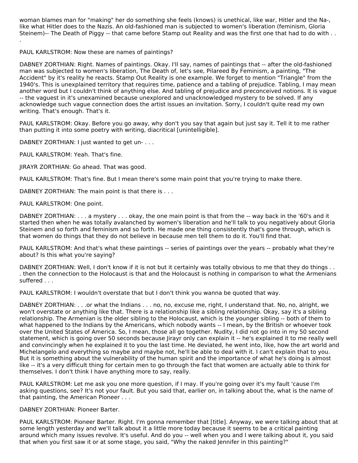woman blames man for "making" her do something she feels (knows) is unethical, like war, Hitler and the Na-, like what Hitler does to the Nazis. An old-fashioned man is subjected to women's liberation (feminism, Gloria Steinem)-- The Death of Piggy -- that came before Stamp out Reality and was the first one that had to do with . . .

PAUL KARLSTROM: Now these are names of paintings?

DABNEY ZORTHIAN: Right. Names of paintings. Okay. I'll say, names of paintings that -- after the old-fashioned man was subjected to women's liberation, The Death of, let's see, Pilareed By Feminism, a painting, "The Accident" by it's reality he reacts. Stamp Out Reality is one example. We forget to mention "Triangle" from the 1940's. This is unexplained territory that requires time, patience and a tabling of prejudice. Tabling, I may mean another word but I couldn't think of anything else. And tabling of prejudice and preconceived notions. It is vague -- the vaguest in it's unexamined because unexplored and unacknowledged mystery to be solved. If any acknowledge such vague connection does the artist issues an invitation. Sorry, I couldn't quite read my own writing. That's enough. That's it.

PAUL KARLSTROM: Okay. Before you go away, why don't you say that again but just say it. Tell it to me rather than putting it into some poetry with writing, diacritical [unintelligible].

DABNEY ZORTHIAN: I just wanted to get un- . . .

PAUL KARLSTROM: Yeah. That's fine.

JIRAYR ZORTHIAN: Go ahead. That was good.

PAUL KARLSTROM: That's fine. But I mean there's some main point that you're trying to make there.

DABNEY ZORTHIAN: The main point is that there is . . .

PAUL KARLSTROM: One point.

DABNEY ZORTHIAN: . . . a mystery . . . okay, the one main point is that from the -- way back in the '60's and it started then when he was totally avalanched by women's liberation and he'll talk to you negatively about Gloria Steinem and so forth and feminism and so forth. He made one thing consistently that's gone through, which is that women do things that they do not believe in because men tell them to do it. You'll find that.

PAUL KARLSTROM: And that's what these paintings -- series of paintings over the years -- probably what they're about? Is this what you're saying?

DABNEY ZORTHIAN: Well, I don't know if it is not but it certainly was totally obvious to me that they do things ... . then the connection to the Holocaust is that and the Holocaust is nothing in comparison to what the Armenians suffered . . .

PAUL KARLSTROM: I wouldn't overstate that but I don't think you wanna be quoted that way.

DABNEY ZORTHIAN: . . .or what the Indians . . . no, no, excuse me, right, I understand that. No, no, alright, we won't overstate or anything like that. There is a relationship like a sibling relationship. Okay, say it's a sibling relationship. The Armenian is the older sibling to the Holocaust, which is the younger sibling -- both of them to what happened to the Indians by the Americans, which nobody wants -- I mean, by the British or whoever took over the United States of America. So, I mean, those all go together. Nudity, I did not go into in my 50 second statement, which is going over 50 seconds because Jirayr only can explain it -- he's explained it to me really well and convincingly when he explained it to you the last time. He deviated, he went into, like, how the art world and Michelangelo and everything so maybe and maybe not, he'll be able to deal with it. I can't explain that to you. But it is something about the vulnerability of the human spirit and the importance of what he's doing is almost like -- it's a very difficult thing for certain men to go through the fact that women are actually able to think for themselves. I don't think I have anything more to say, really.

PAUL KARLSTROM: Let me ask you one more question, if I may. If you're going over it's my fault 'cause I'm asking questions, see? It's not your fault. But you said that, earlier on, in talking about the, what is the name of that painting, the American Pioneer . . .

DABNEY ZORTHIAN: Pioneer Barter.

PAUL KARLSTROM: Pioneer Barter. Right. I'm gonna remember that [title]. Anyway, we were talking about that at some length yesterday and we'll talk about it a little more today because it seems to be a critical painting around which many issues revolve. It's useful. And do you -- well when you and I were talking about it, you said that when you first saw it or at some stage, you said, "Why the naked Jennifer in this painting?"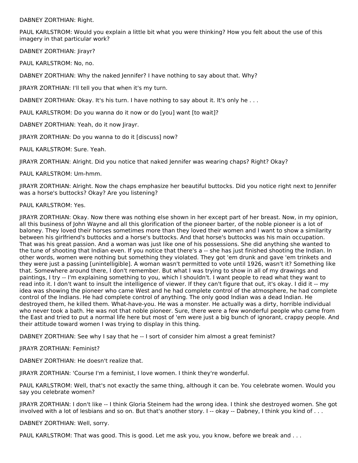DABNEY ZORTHIAN: Right.

PAUL KARLSTROM: Would you explain a little bit what you were thinking? How you felt about the use of this imagery in that particular work?

DABNEY ZORTHIAN: Jirayr?

PAUL KARLSTROM: No, no.

DABNEY ZORTHIAN: Why the naked Jennifer? I have nothing to say about that. Why?

JIRAYR ZORTHIAN: I'll tell you that when it's my turn.

DABNEY ZORTHIAN: Okay. It's his turn. I have nothing to say about it. It's only he . . .

PAUL KARLSTROM: Do you wanna do it now or do [you] want [to wait]?

DABNEY ZORTHIAN: Yeah, do it now Jirayr.

JIRAYR ZORTHIAN: Do you wanna to do it [discuss] now?

PAUL KARLSTROM: Sure. Yeah.

JIRAYR ZORTHIAN: Alright. Did you notice that naked Jennifer was wearing chaps? Right? Okay?

PAUL KARLSTROM: Um-hmm.

JIRAYR ZORTHIAN: Alright. Now the chaps emphasize her beautiful buttocks. Did you notice right next to Jennifer was a horse's buttocks? Okay? Are you listening?

PAUL KARLSTROM: Yes.

JIRAYR ZORTHIAN: Okay. Now there was nothing else shown in her except part of her breast. Now, in my opinion, all this business of John Wayne and all this glorification of the pioneer barter, of the noble pioneer is a lot of baloney. They loved their horses sometimes more than they loved their women and I want to show a similarity between his girlfriend's buttocks and a horse's buttocks. And that horse's buttocks was his main occupation. That was his great passion. And a woman was just like one of his possessions. She did anything she wanted to the tune of shooting that Indian even. If you notice that there's a -- she has just finished shooting the Indian. In other words, women were nothing but something they violated. They got 'em drunk and gave 'em trinkets and they were just a passing [unintelligible]. A woman wasn't permitted to vote until 1926, wasn't it? Something like that. Somewhere around there, I don't remember. But what I was trying to show in all of my drawings and paintings, I try -- I'm explaining something to you, which I shouldn't. I want people to read what they want to read into it. I don't want to insult the intelligence of viewer. If they can't figure that out, it's okay. I did it -- my idea was showing the pioneer who came West and he had complete control of the atmosphere, he had complete control of the Indians. He had complete control of anything. The only good Indian was a dead Indian. He destroyed them, he killed them. What-have-you. He was a monster. He actually was a dirty, horrible individual who never took a bath. He was not that noble pioneer. Sure, there were a few wonderful people who came from the East and tried to put a normal life here but most of 'em were just a big bunch of ignorant, crappy people. And their attitude toward women I was trying to display in this thing.

DABNEY ZORTHIAN: See why I say that he -- I sort of consider him almost a great feminist?

JIRAYR ZORTHIAN: Feminist?

DABNEY ZORTHIAN: He doesn't realize that.

JIRAYR ZORTHIAN: 'Course I'm a feminist, I love women. I think they're wonderful.

PAUL KARLSTROM: Well, that's not exactly the same thing, although it can be. You celebrate women. Would you say you celebrate women?

JIRAYR ZORTHIAN: I don't like -- I think Gloria Steinem had the wrong idea. I think she destroyed women. She got involved with a lot of lesbians and so on. But that's another story. I -- okay -- Dabney, I think you kind of . . .

DABNEY ZORTHIAN: Well, sorry.

PAUL KARLSTROM: That was good. This is good. Let me ask you, you know, before we break and . . .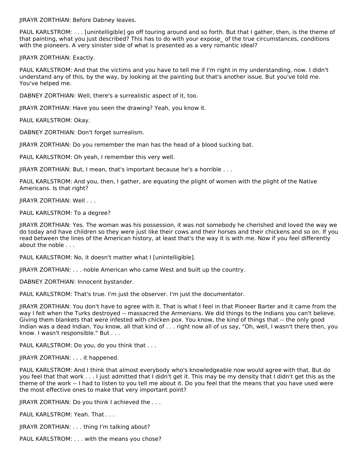JIRAYR ZORTHIAN: Before Dabney leaves.

PAUL KARLSTROM: . . . [unintelligible] go off touring around and so forth. But that I gather, then, is the theme of that painting, what you just described? This has to do with your expose\_ of the true circumstances, conditions with the pioneers. A very sinister side of what is presented as a very romantic ideal?

JIRAYR ZORTHIAN: Exactly.

PAUL KARLSTROM: And that the victims and you have to tell me if I'm right in my understanding, now. I didn't understand any of this, by the way, by looking at the painting but that's another issue. But you've told me. You've helped me.

DABNEY ZORTHIAN: Well, there's a surrealistic aspect of it, too.

JIRAYR ZORTHIAN: Have you seen the drawing? Yeah, you know it.

PAUL KARLSTROM: Okay.

DABNEY ZORTHIAN: Don't forget surrealism.

JIRAYR ZORTHIAN: Do you remember the man has the head of a blood sucking bat.

PAUL KARLSTROM: Oh yeah, I remember this very well.

JIRAYR ZORTHIAN: But, I mean, that's important because he's a horrible . . .

PAUL KARLSTROM: And you, then, I gather, are equating the plight of women with the plight of the Native Americans. Is that right?

JIRAYR ZORTHIAN: Well . . .

PAUL KARLSTROM: To a degree?

JIRAYR ZORTHIAN: Yes. The woman was his possession, it was not somebody he cherished and loved the way we do today and have children so they were just like their cows and their horses and their chickens and so on. If you read between the lines of the American history, at least that's the way it is with me. Now if you feel differently about the noble . . .

PAUL KARLSTROM: No, it doesn't matter what I [unintelligible].

JIRAYR ZORTHIAN: . . . noble American who came West and built up the country.

DABNEY ZORTHIAN: Innocent bystander.

PAUL KARLSTROM: That's true. I'm just the observer. I'm just the documentator.

JIRAYR ZORTHIAN: You don't have to agree with it. That is what I feel in that Pioneer Barter and it came from the way I felt when the Turks destroyed -- massacred the Armenians. We did things to the Indians you can't believe. Giving them blankets that were infested with chicken pox. You know, the kind of things that -- the only good Indian was a dead Indian. You know, all that kind of . . . right now all of us say, "Oh, well, I wasn't there then, you know. I wasn't responsible." But . . .

PAUL KARLSTROM: Do you, do you think that . . .

JIRAYR ZORTHIAN: . . . it happened.

PAUL KARLSTROM: And I think that almost everybody who's knowledgeable now would agree with that. But do you feel that that work . . . I just admitted that I didn't get it. This may be my density that I didn't get this as the theme of the work -- I had to listen to you tell me about it. Do you feel that the means that you have used were the most effective ones to make that very important point?

JIRAYR ZORTHIAN: Do you think I achieved the . . .

PAUL KARLSTROM: Yeah. That . . .

JIRAYR ZORTHIAN: . . . thing I'm talking about?

PAUL KARLSTROM: . . . with the means you chose?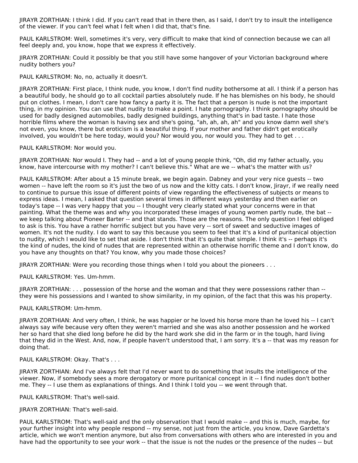JIRAYR ZORTHIAN: I think I did. If you can't read that in there then, as I said, I don't try to insult the intelligence of the viewer. If you can't feel what I felt when I did that, that's fine.

PAUL KARLSTROM: Well, sometimes it's very, very difficult to make that kind of connection because we can all feel deeply and, you know, hope that we express it effectively.

JIRAYR ZORTHIAN: Could it possibly be that you still have some hangover of your Victorian background where nudity bothers you?

PAUL KARLSTROM: No, no, actually it doesn't.

JIRAYR ZORTHIAN: First place, I think nude, you know, I don't find nudity bothersome at all. I think if a person has a beautiful body, he should go to all cocktail parties absolutely nude. If he has blemishes on his body, he should put on clothes. I mean, I don't care how fancy a party it is. The fact that a person is nude is not the important thing, in my opinion. You can use that nudity to make a point. I hate pornography. I think pornography should be used for badly designed automobiles, badly designed buildings, anything that's in bad taste. I hate those horrible films where the woman is having sex and she's going, "ah, ah, ah, ah" and you know damn well she's not even, you know, there but eroticism is a beautiful thing. If your mother and father didn't get erotically involved, you wouldn't be here today, would you? Nor would you, nor would you. They had to get . . .

PAUL KARLSTROM: Nor would you.

JIRAYR ZORTHIAN: Nor would I. They had -- and a lot of young people think, "Oh, did my father actually, you know, have intercourse with my mother? I can't believe this." What are we -- what's the matter with us?

PAUL KARLSTROM: After about a 15 minute break, we begin again. Dabney and your very nice guests -- two women -- have left the room so it's just the two of us now and the kitty cats. I don't know, Jirayr, if we really need to continue to pursue this issue of different points of view regarding the effectiveness of subjects or means to express ideas. I mean, I asked that question several times in different ways yesterday and then earlier on today's tape -- I was very happy that you -- I thought very clearly stated what your concerns were in that painting. What the theme was and why you incorporated these images of young women partly nude, the bat - we keep talking about Pioneer Barter -- and that stands. Those are the reasons. The only question I feel obliged to ask is this. You have a rather horrific subject but you have very -- sort of sweet and seductive images of women. It's not the nudity. I do want to say this because you seem to feel that it's a kind of puritanical objection to nudity, which I would like to set that aside. I don't think that it's quite that simple. I think it's -- perhaps it's the kind of nudes, the kind of nudes that are represented within an otherwise horrific theme and I don't know, do you have any thoughts on that? You know, why you made those choices?

JIRAYR ZORTHIAN: Were you recording those things when I told you about the pioneers . . .

PAUL KARLSTROM: Yes. Um-hmm.

JIRAYR ZORTHIAN: . . . possession of the horse and the woman and that they were possessions rather than - they were his possessions and I wanted to show similarity, in my opinion, of the fact that this was his property.

PAUL KARLSTROM: Um-hmm.

JIRAYR ZORTHIAN: And very often, I think, he was happier or he loved his horse more than he loved his -- I can't always say wife because very often they weren't married and she was also another possession and he worked her so hard that she died long before he did by the hard work she did in the farm or in the tough, hard living that they did in the West. And, now, if people haven't understood that, I am sorry. It's a -- that was my reason for doing that.

PAUL KARLSTROM: Okay. That's . . .

JIRAYR ZORTHIAN: And I've always felt that I'd never want to do something that insults the intelligence of the viewer. Now, if somebody sees a more derogatory or more puritanical concept in it -- I find nudes don't bother me. They -- I use them as explanations of things. And I think I told you -- we went through that.

PAUL KARLSTROM: That's well-said.

JIRAYR ZORTHIAN: That's well-said.

PAUL KARLSTROM: That's well-said and the only observation that I would make -- and this is much, maybe, for your further insight into why people respond -- my sense, not just from the article, you know, Dave Gardetta's article, which we won't mention anymore, but also from conversations with others who are interested in you and have had the opportunity to see your work -- that the issue is not the nudes or the presence of the nudes -- but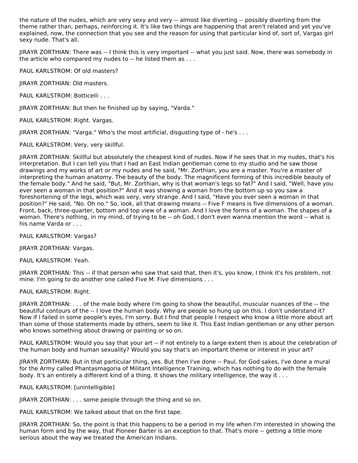the nature of the nudes, which are very sexy and very -- almost like diverting -- possibly diverting from the theme rather than, perhaps, reinforcing it. It's like two things are happening that aren't related and yet you've explained, now, the connection that you see and the reason for using that particular kind of, sort of, Vargas girl sexy nude. That's all.

JIRAYR ZORTHIAN: There was -- I think this is very important -- what you just said. Now, there was somebody in the article who compared my nudes to -- he listed them as . . .

PAUL KARLSTROM: Of old masters?

JIRAYR ZORTHIAN: Old masters.

PAUL KARLSTROM: Botticelli . . .

JIRAYR ZORTHIAN: But then he finished up by saying, "Varda."

PAUL KARLSTROM: Right. Vargas.

JIRAYR ZORTHIAN: "Varga." Who's the most artificial, disgusting type of - he's . . .

PAUL KARLSTROM: Very, very skillful.

JIRAYR ZORTHIAN: Skillful but absolutely the cheapest kind of nudes. Now if he sees that in my nudes, that's his interpretation. But I can tell you that I had an East Indian gentleman come to my studio and he saw those drawings and my works of art or my nudes and he said, "Mr. Zorthian, you are a master. You're a master of interpreting the human anatomy. The beauty of the body. The magnificent forming of this incredible beauty of the female body." And he said, "But, Mr. Zorthian, why is that woman's legs so fat?" And I said, "Well, have you ever seen a woman in that position?" And it was showing a woman from the bottom up so you saw a foreshortening of the legs, which was very, very strange. And I said, "Have you ever seen a woman in that position?" He said, "No. Oh no." So, look, all that drawing means -- Five F means is five dimensions of a woman. Front, back, three-quarter, bottom and top view of a woman. And I love the forms of a woman. The shapes of a woman. There's nothing, in my mind, of trying to be -- oh God, I don't even wanna mention the word -- what is his name Varda or . . .

PAUL KARLSTROM: Vargas?

JIRAYR ZORTHIAN: Vargas.

PAUL KARLSTROM: Yeah.

JIRAYR ZORTHIAN: This -- if that person who saw that said that, then it's, you know, I think it's his problem, not mine. I'm going to do another one called Five M. Five dimensions . . .

PAUL KARLSTROM: Right.

JIRAYR ZORTHIAN: . . . of the male body where I'm going to show the beautiful, muscular nuances of the -- the beautiful contours of the -- I love the human body. Why are people so hung up on this. I don't understand it? Now if I failed in some people's eyes, I'm sorry. But I find that people I respect who know a little more about art than some of those statements made by others, seem to like it. This East Indian gentleman or any other person who knows something about drawing or painting or so on.

PAUL KARLSTROM: Would you say that your art -- if not entirely to a large extent then is about the celebration of the human body and human sexuality? Would you say that's an important theme or interest in your art?

JIRAYR ZORTHIAN: But in that particular thing, yes. But then I've done -- Paul, for God sakes, I've done a mural for the Army called Phantasmagoria of Militant Intelligence Training, which has nothing to do with the female body. It's an entirely a different kind of a thing. It shows the military intelligence, the way it . . .

PAUL KARLSTROM: [unintelligible]

JIRAYR ZORTHIAN: . . . some people through the thing and so on.

PAUL KARLSTROM: We talked about that on the first tape.

JIRAYR ZORTHIAN: So, the point is that this happens to be a period in my life when I'm interested in showing the human form and by the way, that Pioneer Barter is an exception to that. That's more -- getting a little more serious about the way we treated the American Indians.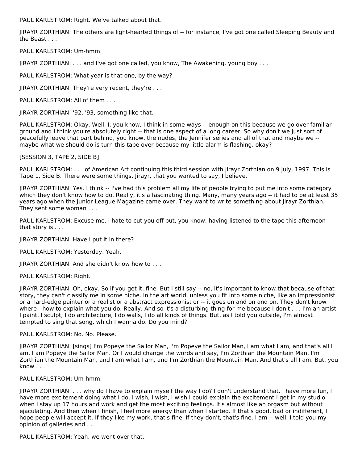PAUL KARLSTROM: Right. We've talked about that.

JIRAYR ZORTHIAN: The others are light-hearted things of -- for instance, I've got one called Sleeping Beauty and the Beast . . .

PAUL KARLSTROM: Um-hmm.

JIRAYR ZORTHIAN: . . . and I've got one called, you know, The Awakening, young boy . . .

PAUL KARLSTROM: What year is that one, by the way?

JIRAYR ZORTHIAN: They're very recent, they're . . .

PAUL KARLSTROM: All of them . . .

JIRAYR ZORTHIAN: '92, '93, something like that.

PAUL KARLSTROM: Okay. Well, I, you know, I think in some ways -- enough on this because we go over familiar ground and I think you're absolutely right -- that is one aspect of a long career. So why don't we just sort of peacefully leave that part behind, you know, the nudes, the Jennifer series and all of that and maybe we - maybe what we should do is turn this tape over because my little alarm is flashing, okay?

[SESSION 3, TAPE 2, SIDE B]

PAUL KARLSTROM: . . . of American Art continuing this third session with Jirayr Zorthian on 9 July, 1997. This is Tape 1, Side B. There were some things, Jirayr, that you wanted to say, I believe.

JIRAYR ZORTHIAN: Yes. I think -- I've had this problem all my life of people trying to put me into some category which they don't know how to do. Really, it's a fascinating thing. Many, many years ago -- it had to be at least 35 years ago when the Junior League Magazine came over. They want to write something about Jirayr Zorthian. They sent some woman . . .

PAUL KARLSTROM: Excuse me. I hate to cut you off but, you know, having listened to the tape this afternoon - that story is . . .

JIRAYR ZORTHIAN: Have I put it in there?

PAUL KARLSTROM: Yesterday. Yeah.

JIRAYR ZORTHIAN: And she didn't know how to . . .

PAUL KARLSTROM: Right.

JIRAYR ZORTHIAN: Oh, okay. So if you get it, fine. But I still say -- no, it's important to know that because of that story, they can't classify me in some niche. In the art world, unless you fit into some niche, like an impressionist or a hard-edge painter or a realist or a abstract expressionist or -- it goes on and on and on. They don't know where - how to explain what you do. Really. And so it's a disturbing thing for me because I don't . . . I'm an artist. I paint, I sculpt, I do architecture, I do walls, I do all kinds of things. But, as I told you outside, I'm almost tempted to sing that song, which I wanna do. Do you mind?

PAUL KARLSTROM: No. No. Please.

JIRAYR ZORTHIAN: [sings] I'm Popeye the Sailor Man, I'm Popeye the Sailor Man, I am what I am, and that's all I am, I am Popeye the Sailor Man. Or I would change the words and say, I'm Zorthian the Mountain Man, I'm Zorthian the Mountain Man, and I am what I am, and I'm Zorthian the Mountain Man. And that's all I am. But, you know . . .

PAUL KARLSTROM: Um-hmm.

JIRAYR ZORTHIAN: . . . why do I have to explain myself the way I do? I don't understand that. I have more fun, I have more excitement doing what I do. I wish, I wish, I wish I could explain the excitement I get in my studio when I stay up 17 hours and work and get the most exciting feelings. It's almost like an orgasm but without ejaculating. And then when I finish, I feel more energy than when I started. If that's good, bad or indifferent, I hope people will accept it. If they like my work, that's fine. If they don't, that's fine. I am -- well, I told you my opinion of galleries and . . .

PAUL KARLSTROM: Yeah, we went over that.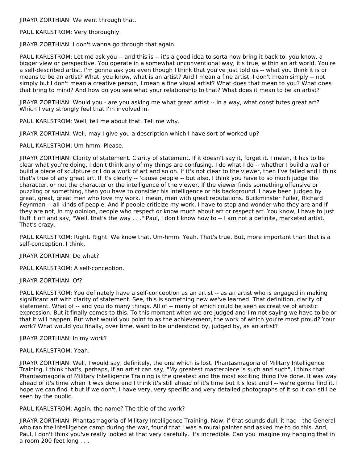JIRAYR ZORTHIAN: We went through that.

PAUL KARLSTROM: Very thoroughly.

JIRAYR ZORTHIAN: I don't wanna go through that again.

PAUL KARLSTROM: Let me ask you -- and this is -- it's a good idea to sorta now bring it back to, you know, a bigger view or perspective. You operate in a somewhat unconventional way, it's true, within an art world. You're a self-described artist. I'm gonna ask you even though I think that you've just told us -- what you think it is or means to be an artist? What, you know, what is an artist? And I mean a fine artist. I don't mean simply -- not simply but I don't mean a creative person, I mean a fine visual artist? What does that mean to you? What does that bring to mind? And how do you see what your relationship to that? What does it mean to be an artist?

JIRAYR ZORTHIAN: Would you - are you asking me what great artist -- in a way, what constitutes great art? Which I very strongly feel that I'm involved in.

PAUL KARLSTROM: Well, tell me about that. Tell me why.

JIRAYR ZORTHIAN: Well, may I give you a description which I have sort of worked up?

PAUL KARLSTROM: Um-hmm. Please.

JIRAYR ZORTHIAN: Clarity of statement. Clarity of statement. If it doesn't say it, forget it. I mean, it has to be clear what you're doing. I don't think any of my things are confusing. I do what I do -- whether I build a wall or build a piece of sculpture or I do a work of art and so on. If it's not clear to the viewer, then I've failed and I think that's true of any great art. If it's clearly -- 'cause people -- but also, I think you have to so much judge the character, or not the character or the intelligence of the viewer. If the viewer finds something offensive or puzzling or something, then you have to consider his intelligence or his background. I have been judged by great, great, great men who love my work. I mean, men with great reputations. Buckminster Fuller, Richard Feynman -- all kinds of people. And if people criticize my work, I have to stop and wonder who they are and if they are not, in my opinion, people who respect or know much about art or respect art. You know, I have to just fluff it off and say, "Well, that's the way . . ." Paul, I don't know how to -- I am not a definite, marketed artist. That's crazy.

PAUL KARLSTROM: Right. Right. We know that. Um-hmm. Yeah. That's true. But, more important than that is a self-conception, I think.

JIRAYR ZORTHIAN: Do what?

PAUL KARLSTROM: A self-conception.

JIRAYR ZORTHIAN: Of?

PAUL KARLSTROM: You definately have a self-conception as an artist -- as an artist who is engaged in making significant art with clarity of statement. See, this is something new we've learned. That definition, clarity of statement. What of -- and you do many things. All of -- many of which could be seen as creative of artistic expression. But it finally comes to this. To this moment when we are judged and I'm not saying we have to be or that it will happen. But what would you point to as the achievement, the work of which you're most proud? Your work? What would you finally, over time, want to be understood by, judged by, as an artist?

JIRAYR ZORTHIAN: In my work?

PAUL KARLSTROM: Yeah.

JIRAYR ZORTHIAN: Well, I would say, definitely, the one which is lost. Phantasmagoria of Military Intelligence Training. I think that's, perhaps, if an artist can say, "My greatest masterpiece is such and such", I think that Phantasmagoria of Military Intelligence Training is the greatest and the most exciting thing I've done. It was way ahead of it's time when it was done and I think it's still ahead of it's time but it's lost and I -- we're gonna find it. I hope we can find it but if we don't, I have very, very specific and very detailed photographs of it so it can still be seen by the public.

PAUL KARLSTROM: Again, the name? The title of the work?

JIRAYR ZORTHIAN: Phantasmagoria of Military Intelligence Training. Now, if that sounds dull, it had - the General who ran the intelligence camp during the war, found that I was a mural painter and asked me to do this. And, Paul, I don't think you've really looked at that very carefully. It's incredible. Can you imagine my hanging that in a room 200 feet long . . .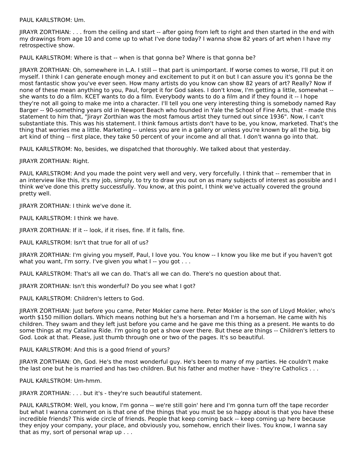PAUL KARLSTROM: Um.

JIRAYR ZORTHIAN: . . . from the ceiling and start -- after going from left to right and then started in the end with my drawings from age 10 and come up to what I've done today? I wanna show 82 years of art when I have my retrospective show.

PAUL KARLSTROM: Where is that -- when is that gonna be? Where is that gonna be?

JIRAYR ZORTHIAN: Oh, somewhere in L.A. I still -- that part is unimportant. If worse comes to worse, I'll put it on myself. I think I can generate enough money and excitement to put it on but I can assure you it's gonna be the most fantastic show you've ever seen. How many artists do you know can show 82 years of art? Really? Now if none of these mean anything to you, Paul, forget it for God sakes. I don't know, I'm getting a little, somewhat - she wants to do a film. KCET wants to do a film. Everybody wants to do a film and if they found it -- I hope they're not all going to make me into a character. I'll tell you one very interesting thing is somebody named Ray Barger -- 90-something years old in Newport Beach who founded in Yale the School of Fine Arts, that - made this statement to him that, "Jirayr Zorthian was the most famous artist they turned out since 1936". Now, I can't substantiate this. This was his statement. I think famous artists don't have to be, you know, marketed. That's the thing that worries me a little. Marketing -- unless you are in a gallery or unless you're known by all the big, big art kind of thing -- first place, they take 50 percent of your income and all that. I don't wanna go into that.

PAUL KARLSTROM: No, besides, we dispatched that thoroughly. We talked about that yesterday.

JIRAYR ZORTHIAN: Right.

PAUL KARLSTROM: And you made the point very well and very, very forcefully. I think that -- remember that in an interview like this, it's my job, simply, to try to draw you out on as many subjects of interest as possible and I think we've done this pretty successfully. You know, at this point, I think we've actually covered the ground pretty well.

JIRAYR ZORTHIAN: I think we've done it.

PAUL KARLSTROM: I think we have.

JIRAYR ZORTHIAN: If it -- look, if it rises, fine. If it falls, fine.

PAUL KARLSTROM: Isn't that true for all of us?

JIRAYR ZORTHIAN: I'm giving you myself, Paul, I love you. You know -- I know you like me but if you haven't got what you want, I'm sorry. I've given you what I -- you got . . .

PAUL KARLSTROM: That's all we can do. That's all we can do. There's no question about that.

JIRAYR ZORTHIAN: Isn't this wonderful? Do you see what I got?

PAUL KARLSTROM: Children's letters to God.

JIRAYR ZORTHIAN: Just before you came, Peter Mokler came here. Peter Mokler is the son of Lloyd Mokler, who's worth \$150 million dollars. Which means nothing but he's a horseman and I'm a horseman. He came with his children. They swam and they left just before you came and he gave me this thing as a present. He wants to do some things at my Catalina Ride. I'm going to get a show over there. But these are things -- Children's letters to God. Look at that. Please, just thumb through one or two of the pages. It's so beautiful.

PAUL KARLSTROM: And this is a good friend of yours?

JIRAYR ZORTHIAN: Oh, God. He's the most wonderful guy. He's been to many of my parties. He couldn't make the last one but he is married and has two children. But his father and mother have - they're Catholics . . .

PAUL KARLSTROM: Um-hmm.

JIRAYR ZORTHIAN: . . . but it's - they're such beautiful statement.

PAUL KARLSTROM: Well, you know, I'm gonna -- we're still goin' here and I'm gonna turn off the tape recorder but what I wanna comment on is that one of the things that you must be so happy about is that you have these incredible friends? This wide circle of friends. People that keep coming back -- keep coming up here because they enjoy your company, your place, and obviously you, somehow, enrich their lives. You know, I wanna say that as my, sort of personal wrap up . . .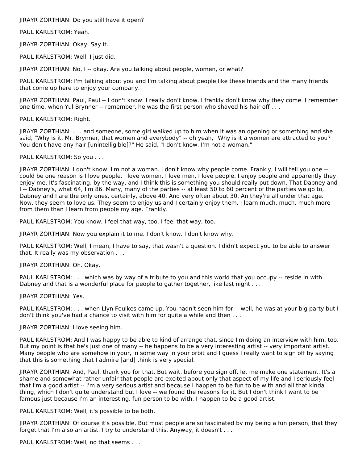JIRAYR ZORTHIAN: Do you still have it open?

PAUL KARLSTROM: Yeah.

JIRAYR ZORTHIAN: Okay. Say it.

PAUL KARLSTROM: Well, I just did.

JIRAYR ZORTHIAN: No, I -- okay. Are you talking about people, women, or what?

PAUL KARLSTROM: I'm talking about you and I'm talking about people like these friends and the many friends that come up here to enjoy your company.

JIRAYR ZORTHIAN: Paul, Paul -- I don't know. I really don't know. I frankly don't know why they come. I remember one time, when Yul Brynner -- remember, he was the first person who shaved his hair off . . .

PAUL KARLSTROM: Right.

JIRAYR ZORTHIAN: . . . and someone, some girl walked up to him when it was an opening or something and she said, "Why is it, Mr. Brynner, that women and everybody" -- oh yeah, "Why is it a women are attracted to you? You don't have any hair [unintelligible]?" He said, "I don't know. I'm not a woman."

PAUL KARLSTROM: So you . . .

JIRAYR ZORTHIAN: I don't know. I'm not a woman. I don't know why people come. Frankly, I will tell you one - could be one reason is I love people. I love women, I love men, I love people. I enjoy people and apparently they enjoy me. It's fascinating, by the way, and I think this is something you should really put down. That Dabney and I -- Dabney's, what 64, I'm 86. Many, many of the parties -- at least 50 to 60 percent of the parties we go to, Dabney and I are the only ones, certainly, above 40. And very often about 30. An they're all under that age. Now, they seem to love us. They seem to enjoy us and I certainly enjoy them. I learn much, much, much more from them than I learn from people my age. Frankly.

PAUL KARLSTROM: You know, I feel that way, too. I feel that way, too.

JIRAYR ZORTHIAN: Now you explain it to me. I don't know. I don't know why.

PAUL KARLSTROM: Well, I mean, I have to say, that wasn't a question. I didn't expect you to be able to answer that. It really was my observation . . .

JIRAYR ZORTHIAN: Oh. Okay.

PAUL KARLSTROM: . . . which was by way of a tribute to you and this world that you occupy -- reside in with Dabney and that is a wonderful place for people to gather together, like last night . . .

JIRAYR ZORTHIAN: Yes.

PAUL KARLSTROM: . . . when Llyn Foulkes came up. You hadn't seen him for -- well, he was at your big party but I don't think you've had a chance to visit with him for quite a while and then . . .

JIRAYR ZORTHIAN: I love seeing him.

PAUL KARLSTROM: And I was happy to be able to kind of arrange that, since I'm doing an interview with him, too. But my point is that he's just one of many -- he happens to be a very interesting artist -- very important artist. Many people who are somehow in your, in some way in your orbit and I guess I really want to sign off by saying that this is something that I admire [and] think is very special.

JIRAYR ZORTHIAN: And, Paul, thank you for that. But wait, before you sign off, let me make one statement. It's a shame and somewhat rather unfair that people are excited about only that aspect of my life and I seriously feel that I'm a good artist -- I'm a very serious artist and because I happen to be fun to be with and all that kinda thing, which I don't quite understand but I love -- we found the reasons for it. But I don't think I want to be famous just because I'm an interesting, fun person to be with. I happen to be a good artist.

PAUL KARLSTROM: Well, it's possible to be both.

JIRAYR ZORTHIAN: Of course it's possible. But most people are so fascinated by my being a fun person, that they forget that I'm also an artist. I try to understand this. Anyway, it doesn't . . .

PAUL KARLSTROM: Well, no that seems . . .